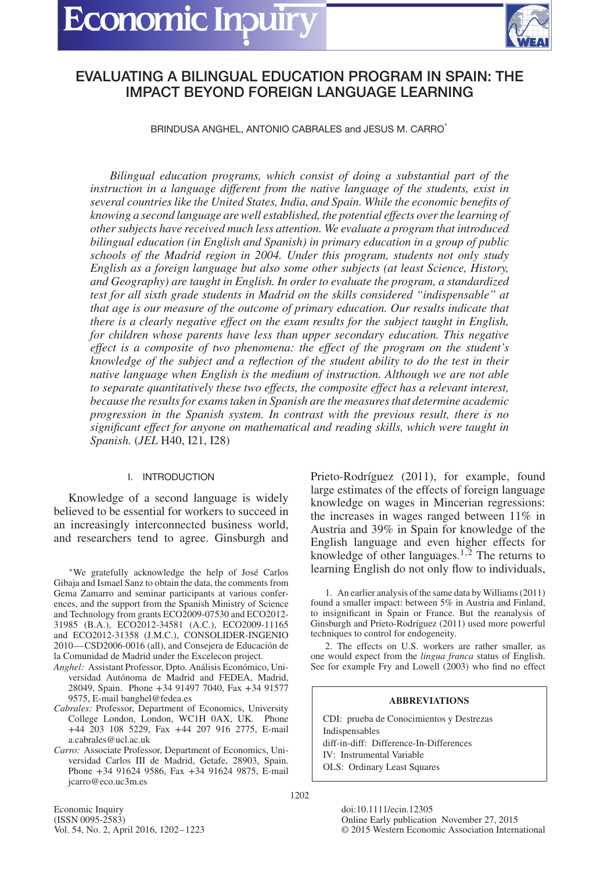

# **EVALUATING A BILINGUAL EDUCATION PROGRAM IN SPAIN: THE IMPACT BEYOND FOREIGN LANGUAGE LEARNING**

BRINDUSA ANGHEL, ANTONIO CABRALES and JESUS M. CARRO<sup>®</sup>

*Bilingual education programs, which consist of doing a substantial part of the instruction in a language different from the native language of the students, exist in several countries like the United States, India, and Spain. While the economic benefits of knowing a second language are well established, the potential effects over the learning of other subjects have received much less attention. We evaluate a program that introduced bilingual education (in English and Spanish) in primary education in a group of public schools of the Madrid region in 2004. Under this program, students not only study English as a foreign language but also some other subjects (at least Science, History, and Geography) are taught in English. In order to evaluate the program, a standardized test for all sixth grade students in Madrid on the skills considered "indispensable" at that age is our measure of the outcome of primary education. Our results indicate that there is a clearly negative effect on the exam results for the subject taught in English, for children whose parents have less than upper secondary education. This negative effect is a composite of two phenomena: the effect of the program on the student's knowledge of the subject and a reflection of the student ability to do the test in their native language when English is the medium of instruction. Although we are not able to separate quantitatively these two effects, the composite effect has a relevant interest, because the results for exams taken in Spanish are the measures that determine academic progression in the Spanish system. In contrast with the previous result, there is no significant effect for anyone on mathematical and reading skills, which were taught in Spanish.* (*JEL* H40, I21, I28)

### I. INTRODUCTION

Knowledge of a second language is widely believed to be essential for workers to succeed in an increasingly interconnected business world, and researchers tend to agree. Ginsburgh and

<sup>∗</sup>We gratefully acknowledge the help of José Carlos Gibaja and Ismael Sanz to obtain the data, the comments from Gema Zamarro and seminar participants at various conferences, and the support from the Spanish Ministry of Science and Technology from grants ECO2009-07530 and ECO2012- 31985 (B.A.), ECO2012-34581 (A.C.), ECO2009-11165 and ECO2012-31358 (J.M.C.), CONSOLIDER-INGENIO 2010—CSD2006-0016 (all), and Consejera de Educación de la Comunidad de Madrid under the Excelecon project.

- *Anghel:* Assistant Professor, Dpto. Análisis Económico, Universidad Autónoma de Madrid and FEDEA, Madrid, 28049, Spain. Phone +34 91497 7040, Fax +34 91577 9575, E-mail banghel@fedea.es
- *Cabrales:* Professor, Department of Economics, University College London, London, WC1H 0AX, UK. Phone +44 203 108 5229, Fax +44 207 916 2775, E-mail a.cabrales@ucl.ac.uk
- *Carro:* Associate Professor, Department of Economics, Universidad Carlos III de Madrid, Getafe, 28903, Spain. Phone +34 91624 9586, Fax +34 91624 9875, E-mail jcarro@eco.uc3m.es

Economic Inquiry (ISSN 0095-2583) Vol. 54, No. 2, April 2016, 1202–1223 Prieto-Rodríguez (2011), for example, found large estimates of the effects of foreign language knowledge on wages in Mincerian regressions: the increases in wages ranged between 11% in Austria and 39% in Spain for knowledge of the English language and even higher effects for knowledge of other languages.<sup>1,2</sup> The returns to learning English do not only flow to individuals,

1. An earlier analysis of the same data by Williams (2011) found a smaller impact: between 5% in Austria and Finland, to insignificant in Spain or France. But the reanalysis of Ginsburgh and Prieto-Rodríguez (2011) used more powerful techniques to control for endogeneity.

2. The effects on U.S. workers are rather smaller, as one would expect from the *lingua franca* status of English. See for example Fry and Lowell (2003) who find no effect

#### **ABBREVIATIONS**

CDI: prueba de Conocimientos y Destrezas Indispensables diff-in-diff: Difference-In-Differences IV: Instrumental Variable OLS: Ordinary Least Squares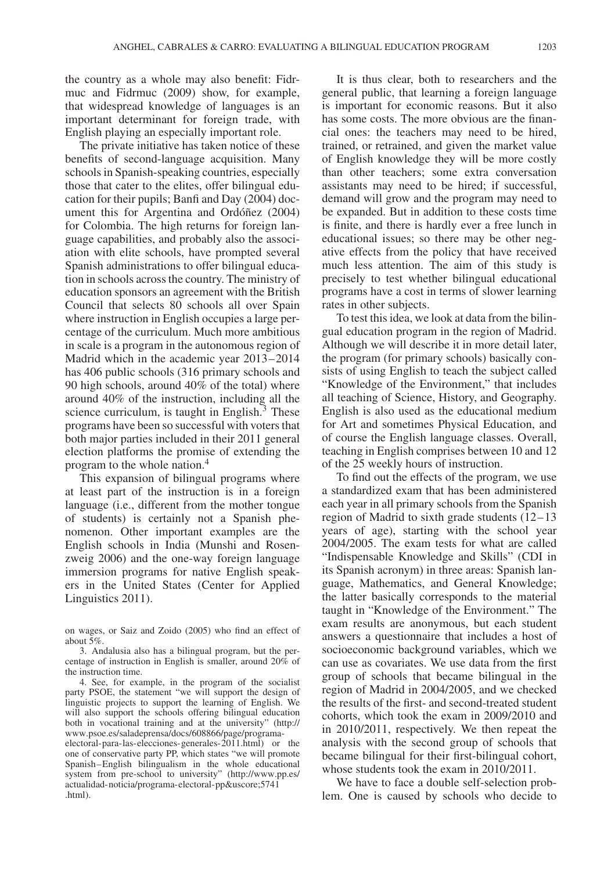the country as a whole may also benefit: Fidrmuc and Fidrmuc (2009) show, for example, that widespread knowledge of languages is an important determinant for foreign trade, with English playing an especially important role.

The private initiative has taken notice of these benefits of second-language acquisition. Many schools in Spanish-speaking countries, especially those that cater to the elites, offer bilingual education for their pupils; Banfi and Day (2004) document this for Argentina and Ordóñez (2004) for Colombia. The high returns for foreign language capabilities, and probably also the association with elite schools, have prompted several Spanish administrations to offer bilingual education in schools across the country. The ministry of education sponsors an agreement with the British Council that selects 80 schools all over Spain where instruction in English occupies a large percentage of the curriculum. Much more ambitious in scale is a program in the autonomous region of Madrid which in the academic year 2013–2014 has 406 public schools (316 primary schools and 90 high schools, around 40% of the total) where around 40% of the instruction, including all the science curriculum, is taught in English. $3$  These programs have been so successful with voters that both major parties included in their 2011 general election platforms the promise of extending the program to the whole nation.<sup>4</sup>

This expansion of bilingual programs where at least part of the instruction is in a foreign language (i.e., different from the mother tongue of students) is certainly not a Spanish phenomenon. Other important examples are the English schools in India (Munshi and Rosenzweig 2006) and the one-way foreign language immersion programs for native English speakers in the United States (Center for Applied Linguistics 2011).

on wages, or Saiz and Zoido (2005) who find an effect of about 5%.

3. Andalusia also has a bilingual program, but the percentage of instruction in English is smaller, around 20% of the instruction time.

4. See, for example, in the program of the socialist party PSOE, the statement "we will support the design of linguistic projects to support the learning of English. We will also support the schools offering bilingual education both in vocational training and at the university" [\(http://](http://www.psoe.es/saladeprensa/docs/608866/page/programa-electoral-para-las-elecciones-generales-2011.html) [www.psoe.es/saladeprensa/docs/608866/page/programa](http://www.psoe.es/saladeprensa/docs/608866/page/programa-electoral-para-las-elecciones-generales-2011.html)[electoral-para-las-elecciones-generales-2011.html\)](http://www.psoe.es/saladeprensa/docs/608866/page/programa-electoral-para-las-elecciones-generales-2011.html) or the one of conservative party PP, which states "we will promote Spanish–English bilingualism in the whole educational system from pre-school to university" [\(http://www.pp.es/](http://www.pp.es/actualidad-noticia/programa-electoral-pp&uscore;5741.html) [actualidad-noticia/programa-electoral-pp&uscore;5741](http://www.pp.es/actualidad-noticia/programa-electoral-pp&uscore;5741.html) [.html\)](http://www.pp.es/actualidad-noticia/programa-electoral-pp&uscore;5741.html).

It is thus clear, both to researchers and the general public, that learning a foreign language is important for economic reasons. But it also has some costs. The more obvious are the financial ones: the teachers may need to be hired, trained, or retrained, and given the market value of English knowledge they will be more costly than other teachers; some extra conversation assistants may need to be hired; if successful, demand will grow and the program may need to be expanded. But in addition to these costs time is finite, and there is hardly ever a free lunch in educational issues; so there may be other negative effects from the policy that have received much less attention. The aim of this study is precisely to test whether bilingual educational programs have a cost in terms of slower learning rates in other subjects.

To test this idea, we look at data from the bilingual education program in the region of Madrid. Although we will describe it in more detail later, the program (for primary schools) basically consists of using English to teach the subject called "Knowledge of the Environment," that includes all teaching of Science, History, and Geography. English is also used as the educational medium for Art and sometimes Physical Education, and of course the English language classes. Overall, teaching in English comprises between 10 and 12 of the 25 weekly hours of instruction.

To find out the effects of the program, we use a standardized exam that has been administered each year in all primary schools from the Spanish region of Madrid to sixth grade students (12–13 years of age), starting with the school year 2004/2005. The exam tests for what are called "Indispensable Knowledge and Skills" (CDI in its Spanish acronym) in three areas: Spanish language, Mathematics, and General Knowledge; the latter basically corresponds to the material taught in "Knowledge of the Environment." The exam results are anonymous, but each student answers a questionnaire that includes a host of socioeconomic background variables, which we can use as covariates. We use data from the first group of schools that became bilingual in the region of Madrid in 2004/2005, and we checked the results of the first- and second-treated student cohorts, which took the exam in 2009/2010 and in 2010/2011, respectively. We then repeat the analysis with the second group of schools that became bilingual for their first-bilingual cohort, whose students took the exam in 2010/2011.

We have to face a double self-selection problem. One is caused by schools who decide to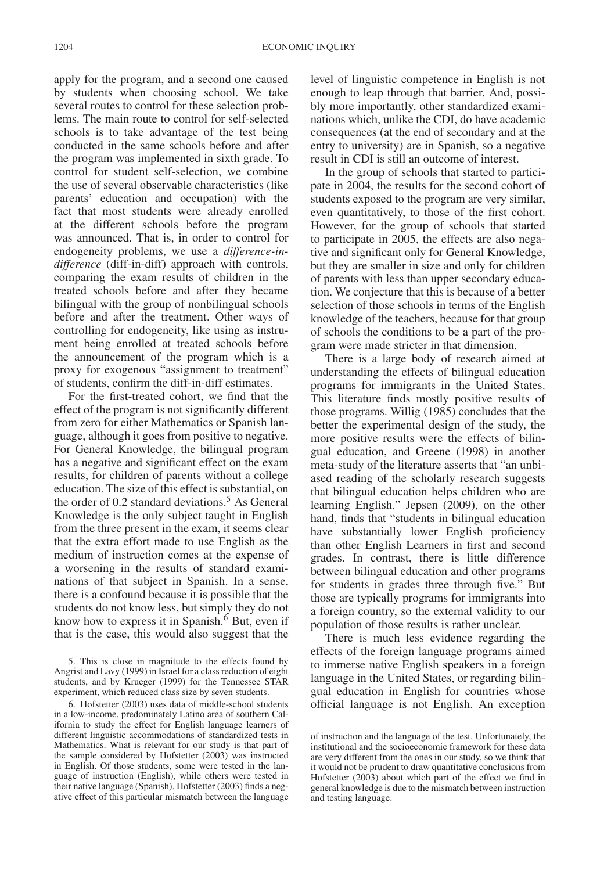apply for the program, and a second one caused by students when choosing school. We take several routes to control for these selection problems. The main route to control for self-selected schools is to take advantage of the test being conducted in the same schools before and after the program was implemented in sixth grade. To control for student self-selection, we combine the use of several observable characteristics (like parents' education and occupation) with the fact that most students were already enrolled at the different schools before the program was announced. That is, in order to control for endogeneity problems, we use a *difference-indifference* (diff-in-diff) approach with controls, comparing the exam results of children in the treated schools before and after they became bilingual with the group of nonbilingual schools before and after the treatment. Other ways of controlling for endogeneity, like using as instrument being enrolled at treated schools before the announcement of the program which is a proxy for exogenous "assignment to treatment" of students, confirm the diff-in-diff estimates.

For the first-treated cohort, we find that the effect of the program is not significantly different from zero for either Mathematics or Spanish language, although it goes from positive to negative. For General Knowledge, the bilingual program has a negative and significant effect on the exam results, for children of parents without a college education. The size of this effect is substantial, on the order of  $0.2$  standard deviations.<sup>5</sup> As General Knowledge is the only subject taught in English from the three present in the exam, it seems clear that the extra effort made to use English as the medium of instruction comes at the expense of a worsening in the results of standard examinations of that subject in Spanish. In a sense, there is a confound because it is possible that the students do not know less, but simply they do not know how to express it in Spanish. $<sup>6</sup>$  But, even if</sup> that is the case, this would also suggest that the level of linguistic competence in English is not enough to leap through that barrier. And, possibly more importantly, other standardized examinations which, unlike the CDI, do have academic consequences (at the end of secondary and at the entry to university) are in Spanish, so a negative result in CDI is still an outcome of interest.

In the group of schools that started to participate in 2004, the results for the second cohort of students exposed to the program are very similar, even quantitatively, to those of the first cohort. However, for the group of schools that started to participate in 2005, the effects are also negative and significant only for General Knowledge, but they are smaller in size and only for children of parents with less than upper secondary education. We conjecture that this is because of a better selection of those schools in terms of the English knowledge of the teachers, because for that group of schools the conditions to be a part of the program were made stricter in that dimension.

There is a large body of research aimed at understanding the effects of bilingual education programs for immigrants in the United States. This literature finds mostly positive results of those programs. Willig (1985) concludes that the better the experimental design of the study, the more positive results were the effects of bilingual education, and Greene (1998) in another meta-study of the literature asserts that "an unbiased reading of the scholarly research suggests that bilingual education helps children who are learning English." Jepsen (2009), on the other hand, finds that "students in bilingual education have substantially lower English proficiency than other English Learners in first and second grades. In contrast, there is little difference between bilingual education and other programs for students in grades three through five." But those are typically programs for immigrants into a foreign country, so the external validity to our population of those results is rather unclear.

There is much less evidence regarding the effects of the foreign language programs aimed to immerse native English speakers in a foreign language in the United States, or regarding bilingual education in English for countries whose official language is not English. An exception

<sup>5.</sup> This is close in magnitude to the effects found by Angrist and Lavy (1999) in Israel for a class reduction of eight students, and by Krueger (1999) for the Tennessee STAR experiment, which reduced class size by seven students.

<sup>6.</sup> Hofstetter (2003) uses data of middle-school students in a low-income, predominately Latino area of southern California to study the effect for English language learners of different linguistic accommodations of standardized tests in Mathematics. What is relevant for our study is that part of the sample considered by Hofstetter (2003) was instructed in English. Of those students, some were tested in the language of instruction (English), while others were tested in their native language (Spanish). Hofstetter (2003) finds a negative effect of this particular mismatch between the language

of instruction and the language of the test. Unfortunately, the institutional and the socioeconomic framework for these data are very different from the ones in our study, so we think that it would not be prudent to draw quantitative conclusions from Hofstetter (2003) about which part of the effect we find in general knowledge is due to the mismatch between instruction and testing language.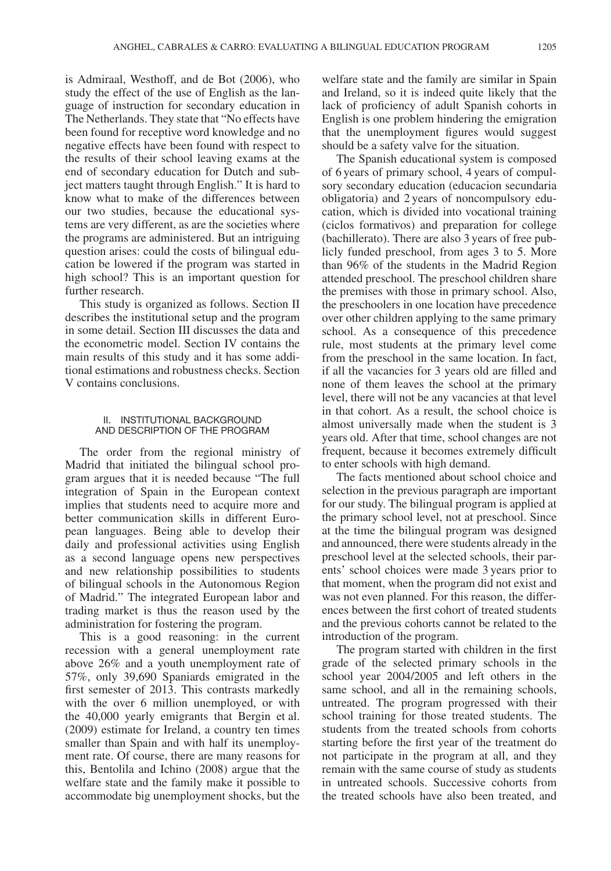is Admiraal, Westhoff, and de Bot (2006), who study the effect of the use of English as the language of instruction for secondary education in The Netherlands. They state that "No effects have been found for receptive word knowledge and no negative effects have been found with respect to the results of their school leaving exams at the end of secondary education for Dutch and subject matters taught through English." It is hard to know what to make of the differences between our two studies, because the educational systems are very different, as are the societies where the programs are administered. But an intriguing question arises: could the costs of bilingual education be lowered if the program was started in high school? This is an important question for further research.

This study is organized as follows. Section II describes the institutional setup and the program in some detail. Section III discusses the data and the econometric model. Section IV contains the main results of this study and it has some additional estimations and robustness checks. Section V contains conclusions.

#### II. INSTITUTIONAL BACKGROUND AND DESCRIPTION OF THE PROGRAM

The order from the regional ministry of Madrid that initiated the bilingual school program argues that it is needed because "The full integration of Spain in the European context implies that students need to acquire more and better communication skills in different European languages. Being able to develop their daily and professional activities using English as a second language opens new perspectives and new relationship possibilities to students of bilingual schools in the Autonomous Region of Madrid." The integrated European labor and trading market is thus the reason used by the administration for fostering the program.

This is a good reasoning: in the current recession with a general unemployment rate above 26% and a youth unemployment rate of 57%, only 39,690 Spaniards emigrated in the first semester of 2013. This contrasts markedly with the over 6 million unemployed, or with the 40,000 yearly emigrants that Bergin et al. (2009) estimate for Ireland, a country ten times smaller than Spain and with half its unemployment rate. Of course, there are many reasons for this, Bentolila and Ichino (2008) argue that the welfare state and the family make it possible to accommodate big unemployment shocks, but the welfare state and the family are similar in Spain and Ireland, so it is indeed quite likely that the lack of proficiency of adult Spanish cohorts in English is one problem hindering the emigration that the unemployment figures would suggest should be a safety valve for the situation.

The Spanish educational system is composed of 6 years of primary school, 4 years of compulsory secondary education (educacion secundaria obligatoria) and 2 years of noncompulsory education, which is divided into vocational training (ciclos formativos) and preparation for college (bachillerato). There are also 3 years of free publicly funded preschool, from ages 3 to 5. More than 96% of the students in the Madrid Region attended preschool. The preschool children share the premises with those in primary school. Also, the preschoolers in one location have precedence over other children applying to the same primary school. As a consequence of this precedence rule, most students at the primary level come from the preschool in the same location. In fact, if all the vacancies for 3 years old are filled and none of them leaves the school at the primary level, there will not be any vacancies at that level in that cohort. As a result, the school choice is almost universally made when the student is 3 years old. After that time, school changes are not frequent, because it becomes extremely difficult to enter schools with high demand.

The facts mentioned about school choice and selection in the previous paragraph are important for our study. The bilingual program is applied at the primary school level, not at preschool. Since at the time the bilingual program was designed and announced, there were students already in the preschool level at the selected schools, their parents' school choices were made 3 years prior to that moment, when the program did not exist and was not even planned. For this reason, the differences between the first cohort of treated students and the previous cohorts cannot be related to the introduction of the program.

The program started with children in the first grade of the selected primary schools in the school year 2004/2005 and left others in the same school, and all in the remaining schools, untreated. The program progressed with their school training for those treated students. The students from the treated schools from cohorts starting before the first year of the treatment do not participate in the program at all, and they remain with the same course of study as students in untreated schools. Successive cohorts from the treated schools have also been treated, and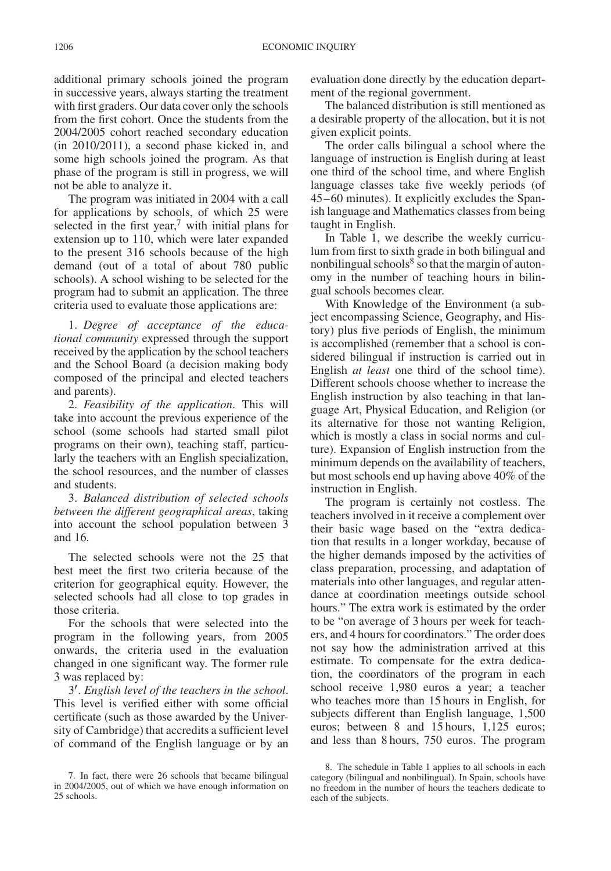additional primary schools joined the program in successive years, always starting the treatment with first graders. Our data cover only the schools from the first cohort. Once the students from the 2004/2005 cohort reached secondary education (in 2010/2011), a second phase kicked in, and some high schools joined the program. As that phase of the program is still in progress, we will not be able to analyze it.

The program was initiated in 2004 with a call for applications by schools, of which 25 were selected in the first year, $7$  with initial plans for extension up to 110, which were later expanded to the present 316 schools because of the high demand (out of a total of about 780 public schools). A school wishing to be selected for the program had to submit an application. The three criteria used to evaluate those applications are:

1. *Degree of acceptance of the educational community* expressed through the support received by the application by the school teachers and the School Board (a decision making body composed of the principal and elected teachers and parents).

2. *Feasibility of the application*. This will take into account the previous experience of the school (some schools had started small pilot programs on their own), teaching staff, particularly the teachers with an English specialization, the school resources, and the number of classes and students.

3. *Balanced distribution of selected schools between the different geographical areas*, taking into account the school population between 3 and 16.

The selected schools were not the 25 that best meet the first two criteria because of the criterion for geographical equity. However, the selected schools had all close to top grades in those criteria.

For the schools that were selected into the program in the following years, from 2005 onwards, the criteria used in the evaluation changed in one significant way. The former rule 3 was replaced by:

3′ . *English level of the teachers in the school*. This level is verified either with some official certificate (such as those awarded by the University of Cambridge) that accredits a sufficient level of command of the English language or by an evaluation done directly by the education department of the regional government.

The balanced distribution is still mentioned as a desirable property of the allocation, but it is not given explicit points.

The order calls bilingual a school where the language of instruction is English during at least one third of the school time, and where English language classes take five weekly periods (of 45–60 minutes). It explicitly excludes the Spanish language and Mathematics classes from being taught in English.

In Table 1, we describe the weekly curriculum from first to sixth grade in both bilingual and nonbilingual schools $8$  so that the margin of autonomy in the number of teaching hours in bilingual schools becomes clear.

With Knowledge of the Environment (a subject encompassing Science, Geography, and History) plus five periods of English, the minimum is accomplished (remember that a school is considered bilingual if instruction is carried out in English *at least* one third of the school time). Different schools choose whether to increase the English instruction by also teaching in that language Art, Physical Education, and Religion (or its alternative for those not wanting Religion, which is mostly a class in social norms and culture). Expansion of English instruction from the minimum depends on the availability of teachers, but most schools end up having above 40% of the instruction in English.

The program is certainly not costless. The teachers involved in it receive a complement over their basic wage based on the "extra dedication that results in a longer workday, because of the higher demands imposed by the activities of class preparation, processing, and adaptation of materials into other languages, and regular attendance at coordination meetings outside school hours." The extra work is estimated by the order to be "on average of 3 hours per week for teachers, and 4 hours for coordinators." The order does not say how the administration arrived at this estimate. To compensate for the extra dedication, the coordinators of the program in each school receive 1,980 euros a year; a teacher who teaches more than 15 hours in English, for subjects different than English language, 1,500 euros; between 8 and 15 hours, 1,125 euros; and less than 8 hours, 750 euros. The program

<sup>7.</sup> In fact, there were 26 schools that became bilingual in 2004/2005, out of which we have enough information on 25 schools.

<sup>8.</sup> The schedule in Table 1 applies to all schools in each category (bilingual and nonbilingual). In Spain, schools have no freedom in the number of hours the teachers dedicate to each of the subjects.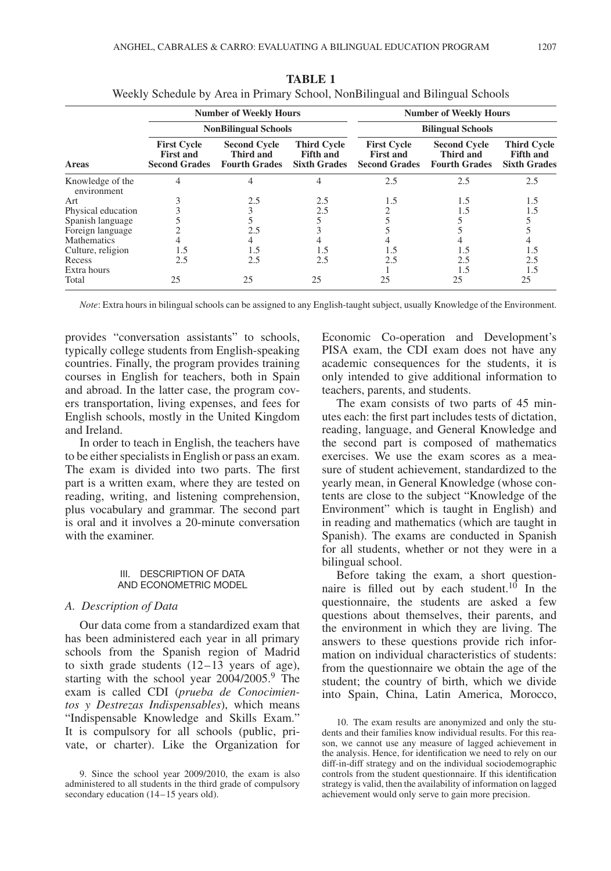|                                 |                                                                | <b>Number of Weekly Hours</b>                            |                                                               | <b>Number of Weekly Hours</b><br><b>Bilingual Schools</b>      |                                                          |                                                               |  |  |
|---------------------------------|----------------------------------------------------------------|----------------------------------------------------------|---------------------------------------------------------------|----------------------------------------------------------------|----------------------------------------------------------|---------------------------------------------------------------|--|--|
|                                 |                                                                | <b>NonBilingual Schools</b>                              |                                                               |                                                                |                                                          |                                                               |  |  |
| Areas                           | <b>First Cycle</b><br><b>First and</b><br><b>Second Grades</b> | <b>Second Cycle</b><br>Third and<br><b>Fourth Grades</b> | <b>Third Cycle</b><br><b>Fifth and</b><br><b>Sixth Grades</b> | <b>First Cycle</b><br><b>First and</b><br><b>Second Grades</b> | <b>Second Cycle</b><br>Third and<br><b>Fourth Grades</b> | <b>Third Cycle</b><br><b>Fifth and</b><br><b>Sixth Grades</b> |  |  |
| Knowledge of the<br>environment |                                                                |                                                          |                                                               | 2.5                                                            | 2.5                                                      | 2.5                                                           |  |  |
| Art                             |                                                                | 2.5                                                      | 2.5                                                           | 1.5                                                            | 1.5                                                      | 1.5                                                           |  |  |
| Physical education              |                                                                | 3                                                        | 2.5                                                           |                                                                | 1.5                                                      | 1.5                                                           |  |  |
| Spanish language                |                                                                |                                                          |                                                               |                                                                |                                                          |                                                               |  |  |
| Foreign language                |                                                                | 2.5                                                      |                                                               |                                                                |                                                          |                                                               |  |  |
| Mathematics                     |                                                                | 4                                                        |                                                               |                                                                |                                                          |                                                               |  |  |
| Culture, religion               | 1.5                                                            | 1.5                                                      | 1.5                                                           | 1.5                                                            | 1.5                                                      | 1.5                                                           |  |  |
| Recess                          | 2.5                                                            | 2.5                                                      | 2.5                                                           | 2.5                                                            | 2.5                                                      | 2.5                                                           |  |  |
| Extra hours                     |                                                                |                                                          |                                                               |                                                                | 1.5                                                      | 1.5                                                           |  |  |
| Total                           | 25                                                             | 25                                                       | 25                                                            | 25                                                             | 25                                                       | 25                                                            |  |  |

**TABLE 1** Weekly Schedule by Area in Primary School, NonBilingual and Bilingual Schools

*Note*: Extra hours in bilingual schools can be assigned to any English-taught subject, usually Knowledge of the Environment.

provides "conversation assistants" to schools, typically college students from English-speaking countries. Finally, the program provides training courses in English for teachers, both in Spain and abroad. In the latter case, the program covers transportation, living expenses, and fees for English schools, mostly in the United Kingdom and Ireland.

In order to teach in English, the teachers have to be either specialists in English or pass an exam. The exam is divided into two parts. The first part is a written exam, where they are tested on reading, writing, and listening comprehension, plus vocabulary and grammar. The second part is oral and it involves a 20-minute conversation with the examiner.

### III. DESCRIPTION OF DATA AND ECONOMETRIC MODEL

### *A. Description of Data*

Our data come from a standardized exam that has been administered each year in all primary schools from the Spanish region of Madrid to sixth grade students (12–13 years of age), starting with the school year 2004/2005.<sup>9</sup> The exam is called CDI (*prueba de Conocimientos y Destrezas Indispensables*), which means "Indispensable Knowledge and Skills Exam." It is compulsory for all schools (public, private, or charter). Like the Organization for Economic Co-operation and Development's PISA exam, the CDI exam does not have any academic consequences for the students, it is only intended to give additional information to teachers, parents, and students.

The exam consists of two parts of 45 minutes each: the first part includes tests of dictation, reading, language, and General Knowledge and the second part is composed of mathematics exercises. We use the exam scores as a measure of student achievement, standardized to the yearly mean, in General Knowledge (whose contents are close to the subject "Knowledge of the Environment" which is taught in English) and in reading and mathematics (which are taught in Spanish). The exams are conducted in Spanish for all students, whether or not they were in a bilingual school.

Before taking the exam, a short questionnaire is filled out by each student.<sup>10</sup> In the questionnaire, the students are asked a few questions about themselves, their parents, and the environment in which they are living. The answers to these questions provide rich information on individual characteristics of students: from the questionnaire we obtain the age of the student; the country of birth, which we divide into Spain, China, Latin America, Morocco,

<sup>9.</sup> Since the school year 2009/2010, the exam is also administered to all students in the third grade of compulsory secondary education (14–15 years old).

<sup>10.</sup> The exam results are anonymized and only the students and their families know individual results. For this reason, we cannot use any measure of lagged achievement in the analysis. Hence, for identification we need to rely on our diff-in-diff strategy and on the individual sociodemographic controls from the student questionnaire. If this identification strategy is valid, then the availability of information on lagged achievement would only serve to gain more precision.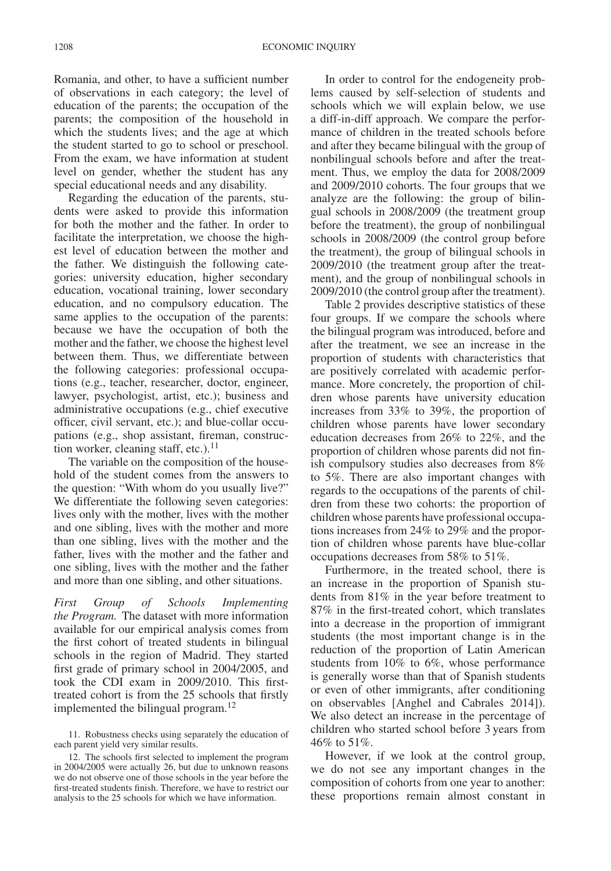Romania, and other, to have a sufficient number of observations in each category; the level of education of the parents; the occupation of the parents; the composition of the household in which the students lives; and the age at which the student started to go to school or preschool. From the exam, we have information at student level on gender, whether the student has any special educational needs and any disability.

Regarding the education of the parents, students were asked to provide this information for both the mother and the father. In order to facilitate the interpretation, we choose the highest level of education between the mother and the father. We distinguish the following categories: university education, higher secondary education, vocational training, lower secondary education, and no compulsory education. The same applies to the occupation of the parents: because we have the occupation of both the mother and the father, we choose the highest level between them. Thus, we differentiate between the following categories: professional occupations (e.g., teacher, researcher, doctor, engineer, lawyer, psychologist, artist, etc.); business and administrative occupations (e.g., chief executive officer, civil servant, etc.); and blue-collar occupations (e.g., shop assistant, fireman, construction worker, cleaning staff, etc.). $^{11}$ 

The variable on the composition of the household of the student comes from the answers to the question: "With whom do you usually live?" We differentiate the following seven categories: lives only with the mother, lives with the mother and one sibling, lives with the mother and more than one sibling, lives with the mother and the father, lives with the mother and the father and one sibling, lives with the mother and the father and more than one sibling, and other situations.

*First Group of Schools Implementing the Program.* The dataset with more information available for our empirical analysis comes from the first cohort of treated students in bilingual schools in the region of Madrid. They started first grade of primary school in 2004/2005, and took the CDI exam in 2009/2010. This firsttreated cohort is from the 25 schools that firstly implemented the bilingual program.<sup>12</sup>

11. Robustness checks using separately the education of each parent yield very similar results.

12. The schools first selected to implement the program in 2004/2005 were actually 26, but due to unknown reasons we do not observe one of those schools in the year before the first-treated students finish. Therefore, we have to restrict our analysis to the 25 schools for which we have information.

In order to control for the endogeneity problems caused by self-selection of students and schools which we will explain below, we use a diff-in-diff approach. We compare the performance of children in the treated schools before and after they became bilingual with the group of nonbilingual schools before and after the treatment. Thus, we employ the data for 2008/2009 and 2009/2010 cohorts. The four groups that we analyze are the following: the group of bilingual schools in 2008/2009 (the treatment group before the treatment), the group of nonbilingual schools in 2008/2009 (the control group before the treatment), the group of bilingual schools in 2009/2010 (the treatment group after the treatment), and the group of nonbilingual schools in 2009/2010 (the control group after the treatment).

Table 2 provides descriptive statistics of these four groups. If we compare the schools where the bilingual program was introduced, before and after the treatment, we see an increase in the proportion of students with characteristics that are positively correlated with academic performance. More concretely, the proportion of children whose parents have university education increases from 33% to 39%, the proportion of children whose parents have lower secondary education decreases from 26% to 22%, and the proportion of children whose parents did not finish compulsory studies also decreases from 8% to 5%. There are also important changes with regards to the occupations of the parents of children from these two cohorts: the proportion of children whose parents have professional occupations increases from 24% to 29% and the proportion of children whose parents have blue-collar occupations decreases from 58% to 51%.

Furthermore, in the treated school, there is an increase in the proportion of Spanish students from 81% in the year before treatment to 87% in the first-treated cohort, which translates into a decrease in the proportion of immigrant students (the most important change is in the reduction of the proportion of Latin American students from 10% to 6%, whose performance is generally worse than that of Spanish students or even of other immigrants, after conditioning on observables [Anghel and Cabrales 2014]). We also detect an increase in the percentage of children who started school before 3 years from 46% to 51%.

However, if we look at the control group, we do not see any important changes in the composition of cohorts from one year to another: these proportions remain almost constant in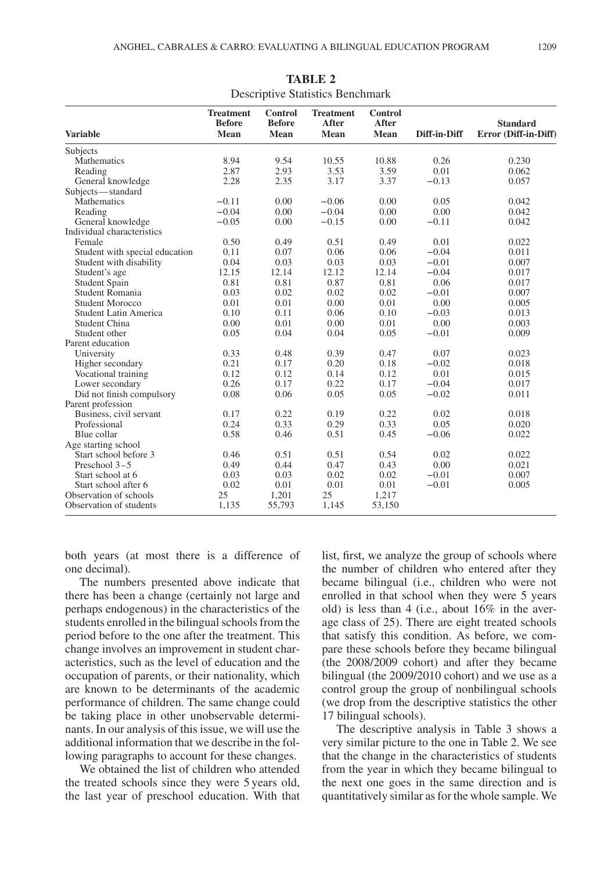|                                | <b>Treatment</b><br><b>Before</b> | <b>Control</b><br><b>Before</b> | <b>Treatment</b><br>After | Control<br>After |              | <b>Standard</b>      |
|--------------------------------|-----------------------------------|---------------------------------|---------------------------|------------------|--------------|----------------------|
| <b>Variable</b>                | Mean                              | Mean                            | Mean                      | Mean             | Diff-in-Diff | Error (Diff-in-Diff) |
| Subjects                       |                                   |                                 |                           |                  |              |                      |
| Mathematics                    | 8.94                              | 9.54                            | 10.55                     | 10.88            | 0.26         | 0.230                |
| Reading                        | 2.87                              | 2.93                            | 3.53                      | 3.59             | 0.01         | 0.062                |
| General knowledge              | 2.28                              | 2.35                            | 3.17                      | 3.37             | $-0.13$      | 0.057                |
| Subjects-standard              |                                   |                                 |                           |                  |              |                      |
| <b>Mathematics</b>             | $-0.11$                           | 0.00                            | $-0.06$                   | 0.00             | 0.05         | 0.042                |
| Reading                        | $-0.04$                           | 0.00                            | $-0.04$                   | 0.00             | 0.00         | 0.042                |
| General knowledge              | $-0.05$                           | 0.00                            | $-0.15$                   | 0.00             | $-0.11$      | 0.042                |
| Individual characteristics     |                                   |                                 |                           |                  |              |                      |
| Female                         | 0.50                              | 0.49                            | 0.51                      | 0.49             | 0.01         | 0.022                |
| Student with special education | 0.11                              | 0.07                            | 0.06                      | 0.06             | $-0.04$      | 0.011                |
| Student with disability        | 0.04                              | 0.03                            | 0.03                      | 0.03             | $-0.01$      | 0.007                |
| Student's age                  | 12.15                             | 12.14                           | 12.12                     | 12.14            | $-0.04$      | 0.017                |
| <b>Student Spain</b>           | 0.81                              | 0.81                            | 0.87                      | 0.81             | 0.06         | 0.017                |
| Student Romania                | 0.03                              | 0.02                            | 0.02                      | 0.02             | $-0.01$      | 0.007                |
| <b>Student Morocco</b>         | 0.01                              | 0.01                            | 0.00                      | 0.01             | 0.00         | 0.005                |
| Student Latin America          | 0.10                              | 0.11                            | 0.06                      | 0.10             | $-0.03$      | 0.013                |
| Student China                  | 0.00                              | 0.01                            | 0.00                      | 0.01             | 0.00         | 0.003                |
| Student other                  | 0.05                              | 0.04                            | 0.04                      | 0.05             | $-0.01$      | 0.009                |
| Parent education               |                                   |                                 |                           |                  |              |                      |
| University                     | 0.33                              | 0.48                            | 0.39                      | 0.47             | 0.07         | 0.023                |
| Higher secondary               | 0.21                              | 0.17                            | 0.20                      | 0.18             | $-0.02$      | 0.018                |
| Vocational training            | 0.12                              | 0.12                            | 0.14                      | 0.12             | 0.01         | 0.015                |
| Lower secondary                | 0.26                              | 0.17                            | 0.22                      | 0.17             | $-0.04$      | 0.017                |
| Did not finish compulsory      | 0.08                              | 0.06                            | 0.05                      | 0.05             | $-0.02$      | 0.011                |
| Parent profession              |                                   |                                 |                           |                  |              |                      |
| Business, civil servant        | 0.17                              | 0.22                            | 0.19                      | 0.22             | 0.02         | 0.018                |
| Professional                   | 0.24                              | 0.33                            | 0.29                      | 0.33             | 0.05         | 0.020                |
| Blue collar                    | 0.58                              | 0.46                            | 0.51                      | 0.45             | $-0.06$      | 0.022                |
| Age starting school            |                                   |                                 |                           |                  |              |                      |
| Start school before 3          | 0.46                              | 0.51                            | 0.51                      | 0.54             | 0.02         | 0.022                |
| Preschool 3-5                  | 0.49                              | 0.44                            | 0.47                      | 0.43             | 0.00         | 0.021                |
| Start school at 6              | 0.03                              | 0.03                            | 0.02                      | 0.02             | $-0.01$      | 0.007                |
| Start school after 6           | 0.02                              | 0.01                            | 0.01                      | 0.01             | $-0.01$      | 0.005                |
| Observation of schools         | 25                                | 1,201                           | 25                        | 1,217            |              |                      |
| Observation of students        | 1,135                             | 55,793                          | 1,145                     | 53,150           |              |                      |

**TABLE 2** Descriptive Statistics Benchmark

both years (at most there is a difference of one decimal).

The numbers presented above indicate that there has been a change (certainly not large and perhaps endogenous) in the characteristics of the students enrolled in the bilingual schools from the period before to the one after the treatment. This change involves an improvement in student characteristics, such as the level of education and the occupation of parents, or their nationality, which are known to be determinants of the academic performance of children. The same change could be taking place in other unobservable determinants. In our analysis of this issue, we will use the additional information that we describe in the following paragraphs to account for these changes.

We obtained the list of children who attended the treated schools since they were 5 years old, the last year of preschool education. With that list, first, we analyze the group of schools where the number of children who entered after they became bilingual (i.e., children who were not enrolled in that school when they were 5 years old) is less than 4 (i.e., about 16% in the average class of 25). There are eight treated schools that satisfy this condition. As before, we compare these schools before they became bilingual (the 2008/2009 cohort) and after they became bilingual (the 2009/2010 cohort) and we use as a control group the group of nonbilingual schools (we drop from the descriptive statistics the other 17 bilingual schools).

The descriptive analysis in Table 3 shows a very similar picture to the one in Table 2. We see that the change in the characteristics of students from the year in which they became bilingual to the next one goes in the same direction and is quantitatively similar as for the whole sample. We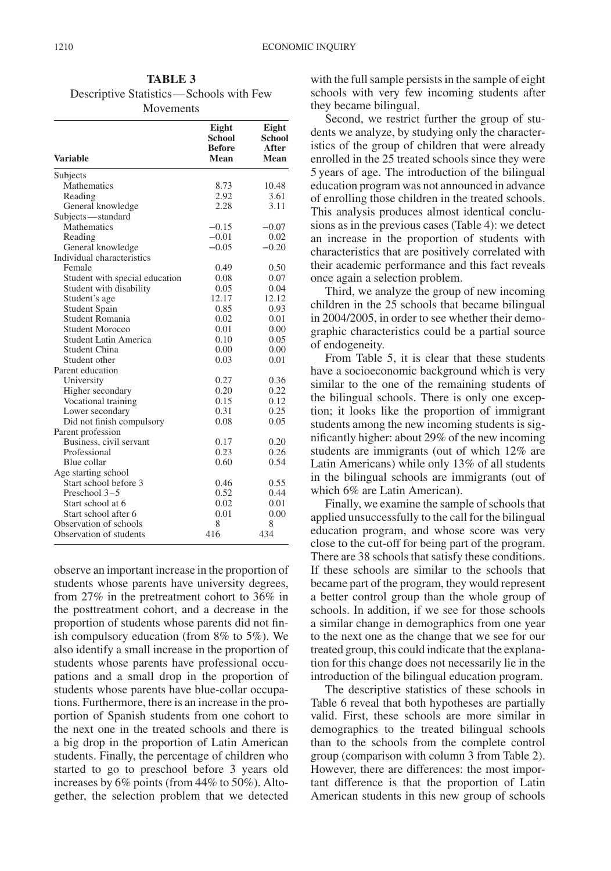**TABLE 3** Descriptive Statistics—Schools with Few Movements

| <b>Variable</b>                | Eight<br><b>School</b><br><b>Before</b><br>Mean | Eight<br>School<br>After<br>Mean |
|--------------------------------|-------------------------------------------------|----------------------------------|
| Subjects                       |                                                 |                                  |
| Mathematics                    | 8.73                                            | 10.48                            |
| Reading                        | 2.92                                            | 3.61                             |
| General knowledge              | 2.28                                            | 3.11                             |
| Subjects-standard              |                                                 |                                  |
| Mathematics                    | $-0.15$                                         | $-0.07$                          |
| Reading                        | $-0.01$                                         | 0.02                             |
| General knowledge              | $-0.05$                                         | $-0.20$                          |
| Individual characteristics     |                                                 |                                  |
| Female                         | 0.49                                            | 0.50                             |
| Student with special education | 0.08                                            | 0.07                             |
| Student with disability        | 0.05                                            | 0.04                             |
| Student's age                  | 12.17                                           | 12.12                            |
| Student Spain                  | 0.85                                            | 0.93                             |
| Student Romania                | 0.02                                            | 0.01                             |
| Student Morocco                | 0.01                                            | 0.00                             |
| Student Latin America          | 0.10                                            | 0.05                             |
| <b>Student China</b>           | 0.00                                            | 0.00                             |
| Student other                  | 0.03                                            | 0.01                             |
| Parent education               |                                                 |                                  |
| University                     | 0.27                                            | 0.36                             |
| Higher secondary               | 0.20                                            | 0.22                             |
| Vocational training            | 0.15                                            | 0.12                             |
| Lower secondary                | 0.31                                            | 0.25                             |
| Did not finish compulsory      | 0.08                                            | 0.05                             |
| Parent profession              |                                                 |                                  |
| Business, civil servant        | 0.17                                            | 0.20                             |
| Professional                   | 0.23                                            | 0.26                             |
| Blue collar                    | 0.60                                            | 0.54                             |
| Age starting school            |                                                 |                                  |
| Start school before 3          | 0.46                                            | 0.55                             |
| Preschool 3-5                  | 0.52                                            | 0.44                             |
| Start school at 6              | 0.02                                            | 0.01                             |
| Start school after 6           | 0.01                                            | 0.00                             |
| Observation of schools         | 8                                               | 8                                |
| Observation of students        | 416                                             | 434                              |

observe an important increase in the proportion of students whose parents have university degrees, from 27% in the pretreatment cohort to 36% in the posttreatment cohort, and a decrease in the proportion of students whose parents did not finish compulsory education (from 8% to 5%). We also identify a small increase in the proportion of students whose parents have professional occupations and a small drop in the proportion of students whose parents have blue-collar occupations. Furthermore, there is an increase in the proportion of Spanish students from one cohort to the next one in the treated schools and there is a big drop in the proportion of Latin American students. Finally, the percentage of children who started to go to preschool before 3 years old increases by 6% points (from 44% to 50%). Altogether, the selection problem that we detected with the full sample persists in the sample of eight schools with very few incoming students after they became bilingual.

Second, we restrict further the group of students we analyze, by studying only the characteristics of the group of children that were already enrolled in the 25 treated schools since they were 5 years of age. The introduction of the bilingual education program was not announced in advance of enrolling those children in the treated schools. This analysis produces almost identical conclusions as in the previous cases (Table 4): we detect an increase in the proportion of students with characteristics that are positively correlated with their academic performance and this fact reveals once again a selection problem.

Third, we analyze the group of new incoming children in the 25 schools that became bilingual in 2004/2005, in order to see whether their demographic characteristics could be a partial source of endogeneity.

From Table 5, it is clear that these students have a socioeconomic background which is very similar to the one of the remaining students of the bilingual schools. There is only one exception; it looks like the proportion of immigrant students among the new incoming students is significantly higher: about 29% of the new incoming students are immigrants (out of which 12% are Latin Americans) while only 13% of all students in the bilingual schools are immigrants (out of which 6% are Latin American).

Finally, we examine the sample of schools that applied unsuccessfully to the call for the bilingual education program, and whose score was very close to the cut-off for being part of the program. There are 38 schools that satisfy these conditions. If these schools are similar to the schools that became part of the program, they would represent a better control group than the whole group of schools. In addition, if we see for those schools a similar change in demographics from one year to the next one as the change that we see for our treated group, this could indicate that the explanation for this change does not necessarily lie in the introduction of the bilingual education program.

The descriptive statistics of these schools in Table 6 reveal that both hypotheses are partially valid. First, these schools are more similar in demographics to the treated bilingual schools than to the schools from the complete control group (comparison with column 3 from Table 2). However, there are differences: the most important difference is that the proportion of Latin American students in this new group of schools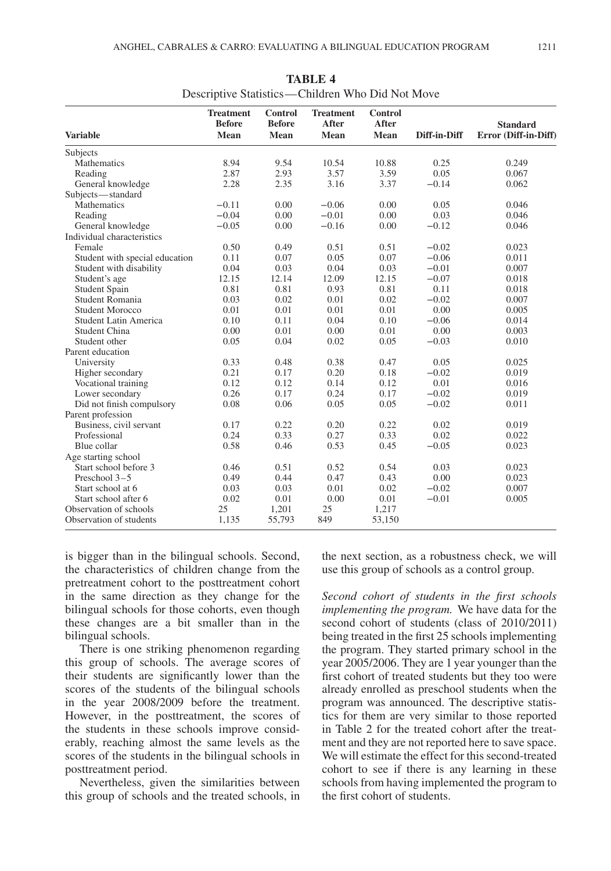| <b>Variable</b>                | <b>Treatment</b><br><b>Before</b><br>Mean | <b>Control</b><br><b>Before</b><br>Mean | <b>Treatment</b><br>After<br>Mean | <b>Control</b><br>After<br>Mean | Diff-in-Diff | <b>Standard</b><br>Error (Diff-in-Diff) |
|--------------------------------|-------------------------------------------|-----------------------------------------|-----------------------------------|---------------------------------|--------------|-----------------------------------------|
| Subjects                       |                                           |                                         |                                   |                                 |              |                                         |
| Mathematics                    | 8.94                                      | 9.54                                    | 10.54                             | 10.88                           | 0.25         | 0.249                                   |
| Reading                        | 2.87                                      | 2.93                                    | 3.57                              | 3.59                            | 0.05         | 0.067                                   |
| General knowledge              | 2.28                                      | 2.35                                    | 3.16                              | 3.37                            | $-0.14$      | 0.062                                   |
| Subjects-standard              |                                           |                                         |                                   |                                 |              |                                         |
| <b>Mathematics</b>             | $-0.11$                                   | 0.00                                    | $-0.06$                           | 0.00                            | 0.05         | 0.046                                   |
| Reading                        | $-0.04$                                   | 0.00                                    | $-0.01$                           | 0.00                            | 0.03         | 0.046                                   |
| General knowledge              | $-0.05$                                   | 0.00                                    | $-0.16$                           | 0.00                            | $-0.12$      | 0.046                                   |
| Individual characteristics     |                                           |                                         |                                   |                                 |              |                                         |
| Female                         | 0.50                                      | 0.49                                    | 0.51                              | 0.51                            | $-0.02$      | 0.023                                   |
| Student with special education | 0.11                                      | 0.07                                    | 0.05                              | 0.07                            | $-0.06$      | 0.011                                   |
| Student with disability        | 0.04                                      | 0.03                                    | 0.04                              | 0.03                            | $-0.01$      | 0.007                                   |
| Student's age                  | 12.15                                     | 12.14                                   | 12.09                             | 12.15                           | $-0.07$      | 0.018                                   |
| Student Spain                  | 0.81                                      | 0.81                                    | 0.93                              | 0.81                            | 0.11         | 0.018                                   |
| Student Romania                | 0.03                                      | 0.02                                    | 0.01                              | 0.02                            | $-0.02$      | 0.007                                   |
| <b>Student Morocco</b>         | 0.01                                      | 0.01                                    | 0.01                              | 0.01                            | 0.00         | 0.005                                   |
| <b>Student Latin America</b>   | 0.10                                      | 0.11                                    | 0.04                              | 0.10                            | $-0.06$      | 0.014                                   |
| <b>Student China</b>           | 0.00                                      | 0.01                                    | 0.00                              | 0.01                            | 0.00         | 0.003                                   |
| Student other                  | 0.05                                      | 0.04                                    | 0.02                              | 0.05                            | $-0.03$      | 0.010                                   |
| Parent education               |                                           |                                         |                                   |                                 |              |                                         |
| University                     | 0.33                                      | 0.48                                    | 0.38                              | 0.47                            | 0.05         | 0.025                                   |
| Higher secondary               | 0.21                                      | 0.17                                    | 0.20                              | 0.18                            | $-0.02$      | 0.019                                   |
| Vocational training            | 0.12                                      | 0.12                                    | 0.14                              | 0.12                            | 0.01         | 0.016                                   |
| Lower secondary                | 0.26                                      | 0.17                                    | 0.24                              | 0.17                            | $-0.02$      | 0.019                                   |
| Did not finish compulsory      | 0.08                                      | 0.06                                    | 0.05                              | 0.05                            | $-0.02$      | 0.011                                   |
| Parent profession              |                                           |                                         |                                   |                                 |              |                                         |
| Business, civil servant        | 0.17                                      | 0.22                                    | 0.20                              | 0.22                            | 0.02         | 0.019                                   |
| Professional                   | 0.24                                      | 0.33                                    | 0.27                              | 0.33                            | 0.02         | 0.022                                   |
| Blue collar                    | 0.58                                      | 0.46                                    | 0.53                              | 0.45                            | $-0.05$      | 0.023                                   |
| Age starting school            |                                           |                                         |                                   |                                 |              |                                         |
| Start school before 3          | 0.46                                      | 0.51                                    | 0.52                              | 0.54                            | 0.03         | 0.023                                   |
| Preschool 3-5                  | 0.49                                      | 0.44                                    | 0.47                              | 0.43                            | 0.00         | 0.023                                   |
| Start school at 6              | 0.03                                      | 0.03                                    | 0.01                              | 0.02                            | $-0.02$      | 0.007                                   |
| Start school after 6           | 0.02                                      | 0.01                                    | 0.00                              | 0.01                            | $-0.01$      | 0.005                                   |
| Observation of schools         | 25                                        | 1,201                                   | 25                                | 1.217                           |              |                                         |
| Observation of students        | 1,135                                     | 55,793                                  | 849                               | 53,150                          |              |                                         |

**TABLE 4** Descriptive Statistics—Children Who Did Not Move

is bigger than in the bilingual schools. Second, the characteristics of children change from the pretreatment cohort to the posttreatment cohort in the same direction as they change for the bilingual schools for those cohorts, even though these changes are a bit smaller than in the bilingual schools.

There is one striking phenomenon regarding this group of schools. The average scores of their students are significantly lower than the scores of the students of the bilingual schools in the year 2008/2009 before the treatment. However, in the posttreatment, the scores of the students in these schools improve considerably, reaching almost the same levels as the scores of the students in the bilingual schools in posttreatment period.

Nevertheless, given the similarities between this group of schools and the treated schools, in the next section, as a robustness check, we will use this group of schools as a control group.

*Second cohort of students in the first schools implementing the program.* We have data for the second cohort of students (class of 2010/2011) being treated in the first 25 schools implementing the program. They started primary school in the year 2005/2006. They are 1 year younger than the first cohort of treated students but they too were already enrolled as preschool students when the program was announced. The descriptive statistics for them are very similar to those reported in Table 2 for the treated cohort after the treatment and they are not reported here to save space. We will estimate the effect for this second-treated cohort to see if there is any learning in these schools from having implemented the program to the first cohort of students.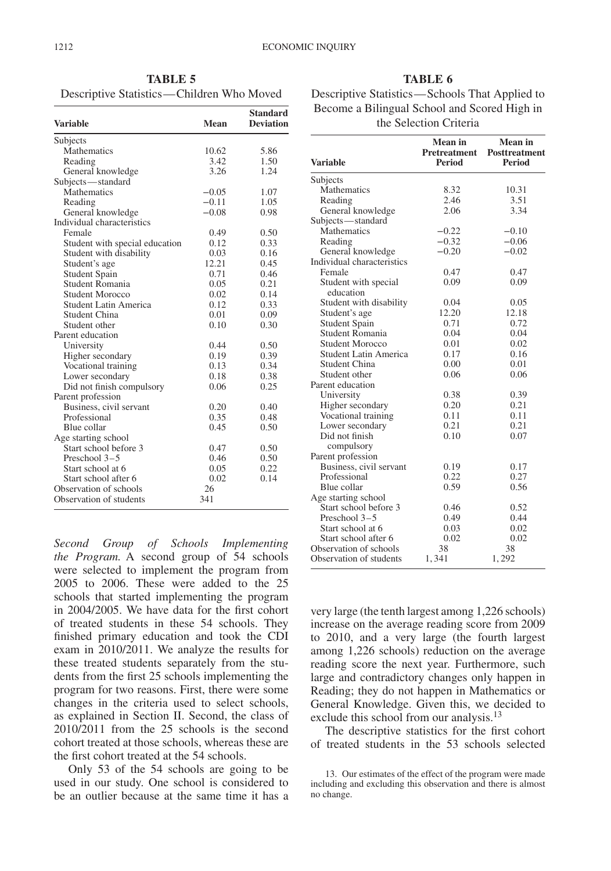**TABLE 5** Descriptive Statistics—Children Who Moved

| <b>Variable</b>                | Mean    | <b>Standard</b><br><b>Deviation</b> |
|--------------------------------|---------|-------------------------------------|
| Subjects                       |         |                                     |
| Mathematics                    | 10.62   | 5.86                                |
| Reading                        | 3.42    | 1.50                                |
| General knowledge              | 3.26    | 1.24                                |
| Subjects-standard              |         |                                     |
| Mathematics                    | $-0.05$ | 1.07                                |
| Reading                        | $-0.11$ | 1.05                                |
| General knowledge              | $-0.08$ | 0.98                                |
| Individual characteristics     |         |                                     |
| Female                         | 0.49    | 0.50                                |
| Student with special education | 0.12    | 0.33                                |
| Student with disability        | 0.03    | 0.16                                |
| Student's age                  | 12.21   | 0.45                                |
| Student Spain                  | 0.71    | 0.46                                |
| Student Romania                | 0.05    | 0.21                                |
| <b>Student Morocco</b>         | 0.02    | 0.14                                |
| Student Latin America          | 0.12    | 0.33                                |
| Student China                  | 0.01    | 0.09                                |
| Student other                  | 0.10    | 0.30                                |
| Parent education               |         |                                     |
| University                     | 0.44    | 0.50                                |
| Higher secondary               | 0.19    | 0.39                                |
| Vocational training            | 0.13    | 0.34                                |
| Lower secondary                | 0.18    | 0.38                                |
| Did not finish compulsory      | 0.06    | 0.25                                |
| Parent profession              |         |                                     |
| Business, civil servant        | 0.20    | 0.40                                |
| Professional                   | 0.35    | 0.48                                |
| Blue collar                    | 0.45    | 0.50                                |
| Age starting school            |         |                                     |
| Start school before 3          | 0.47    | 0.50                                |
| Preschool 3-5                  | 0.46    | 0.50                                |
| Start school at 6              | 0.05    | 0.22                                |
| Start school after 6           | 0.02    | 0.14                                |
| Observation of schools         | 26      |                                     |
| Observation of students        | 341     |                                     |

*Second Group of Schools Implementing the Program.* A second group of 54 schools were selected to implement the program from 2005 to 2006. These were added to the 25 schools that started implementing the program in 2004/2005. We have data for the first cohort of treated students in these 54 schools. They finished primary education and took the CDI exam in 2010/2011. We analyze the results for these treated students separately from the students from the first 25 schools implementing the program for two reasons. First, there were some changes in the criteria used to select schools, as explained in Section II. Second, the class of 2010/2011 from the 25 schools is the second cohort treated at those schools, whereas these are the first cohort treated at the 54 schools.

Only 53 of the 54 schools are going to be used in our study. One school is considered to be an outlier because at the same time it has a

| FA BL E | п |
|---------|---|
|---------|---|

| Descriptive Statistics—Schools That Applied to |
|------------------------------------------------|
| Become a Bilingual School and Scored High in   |
| the Selection Criteria                         |

| <b>Variable</b>              | <b>Mean</b> in<br>Pretreatment<br><b>Period</b> | <b>Mean</b> in<br><b>Posttreatment</b><br><b>Period</b> |
|------------------------------|-------------------------------------------------|---------------------------------------------------------|
| Subjects                     |                                                 |                                                         |
| Mathematics                  | 8.32                                            | 10.31                                                   |
| Reading                      | 2.46                                            | 3.51                                                    |
| General knowledge            | 2.06                                            | 3.34                                                    |
| Subjects-standard            |                                                 |                                                         |
| Mathematics                  | $-0.22$                                         | $-0.10$                                                 |
| Reading                      | $-0.32$                                         | $-0.06$                                                 |
| General knowledge            | $-0.20$                                         | $-0.02$                                                 |
| Individual characteristics   |                                                 |                                                         |
| Female                       | 0.47                                            | 0.47                                                    |
| Student with special         | 0.09                                            | 0.09                                                    |
| education                    |                                                 |                                                         |
| Student with disability      | 0.04                                            | 0.05                                                    |
| Student's age                | 12.20                                           | 12.18                                                   |
| Student Spain                | 0.71                                            | 0.72                                                    |
| Student Romania              | 0.04                                            | 0.04                                                    |
| <b>Student Morocco</b>       | 0.01                                            | 0.02                                                    |
| <b>Student Latin America</b> | 0.17                                            | 0.16                                                    |
| <b>Student China</b>         | 0.00                                            | 0.01                                                    |
| Student other                | 0.06                                            | 0.06                                                    |
| Parent education             |                                                 |                                                         |
| University                   | 0.38                                            | 0.39                                                    |
| Higher secondary             | 0.20                                            | 0.21                                                    |
| Vocational training          | 0.11                                            | 0.11                                                    |
| Lower secondary              | 0.21                                            | 0.21                                                    |
| Did not finish               | 0.10                                            | 0.07                                                    |
| compulsory                   |                                                 |                                                         |
| Parent profession            |                                                 |                                                         |
| Business, civil servant      | 0.19                                            | 0.17                                                    |
| Professional                 | 0.22                                            | 0.27                                                    |
| Blue collar                  | 0.59                                            | 0.56                                                    |
| Age starting school          |                                                 |                                                         |
| Start school before 3        | 0.46                                            | 0.52                                                    |
| Preschool 3-5                | 0.49                                            | 0.44                                                    |
| Start school at 6            | 0.03                                            | 0.02                                                    |
| Start school after 6         | 0.02                                            | 0.02                                                    |
| Observation of schools       | 38                                              | 38                                                      |
| Observation of students      | 1,341                                           | 1,292                                                   |
|                              |                                                 |                                                         |

very large (the tenth largest among 1,226 schools) increase on the average reading score from 2009 to 2010, and a very large (the fourth largest among 1,226 schools) reduction on the average reading score the next year. Furthermore, such large and contradictory changes only happen in Reading; they do not happen in Mathematics or General Knowledge. Given this, we decided to exclude this school from our analysis.<sup>13</sup>

The descriptive statistics for the first cohort of treated students in the 53 schools selected

<sup>13.</sup> Our estimates of the effect of the program were made including and excluding this observation and there is almost no change.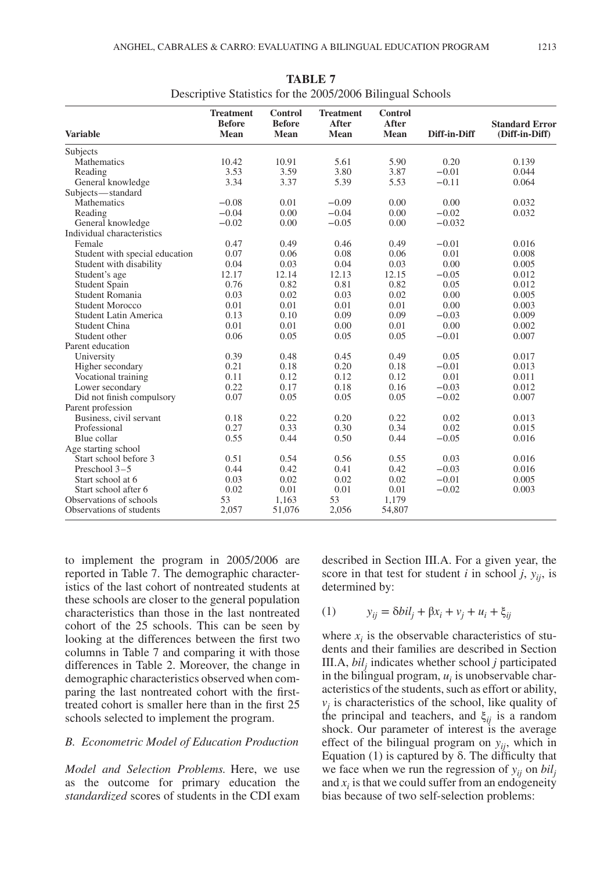| <b>Variable</b>                | <b>Treatment</b><br><b>Before</b><br>Mean | Control<br><b>Before</b><br>Mean | <b>Treatment</b><br>After<br>Mean | Control<br>After<br>Mean | Diff-in-Diff | <b>Standard Error</b><br>(Diff-in-Diff) |
|--------------------------------|-------------------------------------------|----------------------------------|-----------------------------------|--------------------------|--------------|-----------------------------------------|
| Subjects                       |                                           |                                  |                                   |                          |              |                                         |
| Mathematics                    | 10.42                                     | 10.91                            | 5.61                              | 5.90                     | 0.20         | 0.139                                   |
| Reading                        | 3.53                                      | 3.59                             | 3.80                              | 3.87                     | $-0.01$      | 0.044                                   |
| General knowledge              | 3.34                                      | 3.37                             | 5.39                              | 5.53                     | $-0.11$      | 0.064                                   |
| Subjects-standard              |                                           |                                  |                                   |                          |              |                                         |
| <b>Mathematics</b>             | $-0.08$                                   | 0.01                             | $-0.09$                           | 0.00                     | 0.00         | 0.032                                   |
| Reading                        | $-0.04$                                   | 0.00                             | $-0.04$                           | 0.00                     | $-0.02$      | 0.032                                   |
| General knowledge              | $-0.02$                                   | 0.00                             | $-0.05$                           | 0.00                     | $-0.032$     |                                         |
| Individual characteristics     |                                           |                                  |                                   |                          |              |                                         |
| Female                         | 0.47                                      | 0.49                             | 0.46                              | 0.49                     | $-0.01$      | 0.016                                   |
| Student with special education | 0.07                                      | 0.06                             | 0.08                              | 0.06                     | 0.01         | 0.008                                   |
| Student with disability        | 0.04                                      | 0.03                             | 0.04                              | 0.03                     | 0.00         | 0.005                                   |
| Student's age                  | 12.17                                     | 12.14                            | 12.13                             | 12.15                    | $-0.05$      | 0.012                                   |
| <b>Student Spain</b>           | 0.76                                      | 0.82                             | 0.81                              | 0.82                     | 0.05         | 0.012                                   |
| Student Romania                | 0.03                                      | 0.02                             | 0.03                              | 0.02                     | 0.00         | 0.005                                   |
| Student Morocco                | 0.01                                      | 0.01                             | 0.01                              | 0.01                     | 0.00         | 0.003                                   |
| <b>Student Latin America</b>   | 0.13                                      | 0.10                             | 0.09                              | 0.09                     | $-0.03$      | 0.009                                   |
| Student China                  | 0.01                                      | 0.01                             | 0.00                              | 0.01                     | 0.00         | 0.002                                   |
| Student other                  | 0.06                                      | 0.05                             | 0.05                              | 0.05                     | $-0.01$      | 0.007                                   |
| Parent education               |                                           |                                  |                                   |                          |              |                                         |
| University                     | 0.39                                      | 0.48                             | 0.45                              | 0.49                     | 0.05         | 0.017                                   |
| Higher secondary               | 0.21                                      | 0.18                             | 0.20                              | 0.18                     | $-0.01$      | 0.013                                   |
| Vocational training            | 0.11                                      | 0.12                             | 0.12                              | 0.12                     | 0.01         | 0.011                                   |
| Lower secondary                | 0.22                                      | 0.17                             | 0.18                              | 0.16                     | $-0.03$      | 0.012                                   |
| Did not finish compulsory      | 0.07                                      | 0.05                             | 0.05                              | 0.05                     | $-0.02$      | 0.007                                   |
| Parent profession              |                                           |                                  |                                   |                          |              |                                         |
| Business, civil servant        | 0.18                                      | 0.22                             | 0.20                              | 0.22                     | 0.02         | 0.013                                   |
| Professional                   | 0.27                                      | 0.33                             | 0.30                              | 0.34                     | 0.02         | 0.015                                   |
| Blue collar                    | 0.55                                      | 0.44                             | 0.50                              | 0.44                     | $-0.05$      | 0.016                                   |
| Age starting school            |                                           |                                  |                                   |                          |              |                                         |
| Start school before 3          | 0.51                                      | 0.54                             | 0.56                              | 0.55                     | 0.03         | 0.016                                   |
| Preschool 3-5                  | 0.44                                      | 0.42                             | 0.41                              | 0.42                     | $-0.03$      | 0.016                                   |
| Start school at 6              | 0.03                                      | 0.02                             | 0.02                              | 0.02                     | $-0.01$      | 0.005                                   |
| Start school after 6           | 0.02                                      | 0.01                             | 0.01                              | 0.01                     | $-0.02$      | 0.003                                   |
| Observations of schools        | 53                                        | 1.163                            | 53                                | 1.179                    |              |                                         |
| Observations of students       | 2,057                                     | 51,076                           | 2,056                             | 54,807                   |              |                                         |

**TABLE 7** Descriptive Statistics for the 2005/2006 Bilingual Schools

to implement the program in 2005/2006 are reported in Table 7. The demographic characteristics of the last cohort of nontreated students at these schools are closer to the general population characteristics than those in the last nontreated cohort of the 25 schools. This can be seen by looking at the differences between the first two columns in Table 7 and comparing it with those differences in Table 2. Moreover, the change in demographic characteristics observed when comparing the last nontreated cohort with the firsttreated cohort is smaller here than in the first 25 schools selected to implement the program.

### *B. Econometric Model of Education Production*

*Model and Selection Problems.* Here, we use as the outcome for primary education the *standardized* scores of students in the CDI exam described in Section III.A. For a given year, the score in that test for student *i* in school *j*,  $y_{ii}$ , is determined by:

(1) 
$$
y_{ij} = \delta b i l_j + \beta x_i + v_j + u_i + \xi_{ij}
$$

where  $x_i$  is the observable characteristics of students and their families are described in Section III.A, *bilj* indicates whether school *j* participated in the bilingual program,  $u_i$  is unobservable characteristics of the students, such as effort or ability,  $v_i$  is characteristics of the school, like quality of the principal and teachers, and ξ*ij* is a random shock. Our parameter of interest is the average effect of the bilingual program on  $y_{ii}$ , which in Equation  $(1)$  is captured by δ. The difficulty that we face when we run the regression of  $y_{ij}$  on  $bil<sub>j</sub>$ and  $x_i$  is that we could suffer from an endogeneity bias because of two self-selection problems: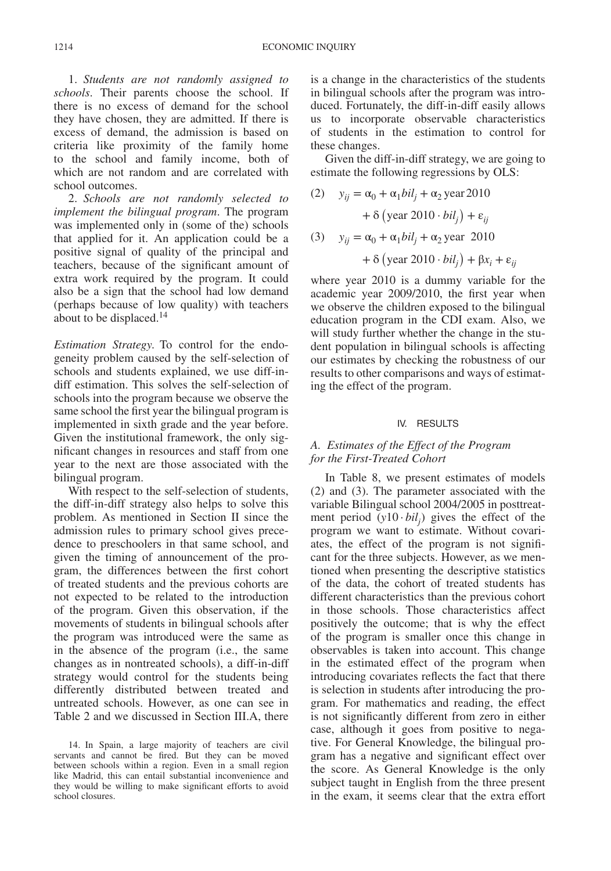1. *Students are not randomly assigned to schools*. Their parents choose the school. If there is no excess of demand for the school they have chosen, they are admitted. If there is excess of demand, the admission is based on criteria like proximity of the family home to the school and family income, both of which are not random and are correlated with school outcomes.

2. *Schools are not randomly selected to implement the bilingual program*. The program was implemented only in (some of the) schools that applied for it. An application could be a positive signal of quality of the principal and teachers, because of the significant amount of extra work required by the program. It could also be a sign that the school had low demand (perhaps because of low quality) with teachers about to be displaced.14

*Estimation Strategy.* To control for the endogeneity problem caused by the self-selection of schools and students explained, we use diff-indiff estimation. This solves the self-selection of schools into the program because we observe the same school the first year the bilingual program is implemented in sixth grade and the year before. Given the institutional framework, the only significant changes in resources and staff from one year to the next are those associated with the bilingual program.

With respect to the self-selection of students, the diff-in-diff strategy also helps to solve this problem. As mentioned in Section II since the admission rules to primary school gives precedence to preschoolers in that same school, and given the timing of announcement of the program, the differences between the first cohort of treated students and the previous cohorts are not expected to be related to the introduction of the program. Given this observation, if the movements of students in bilingual schools after the program was introduced were the same as in the absence of the program (i.e., the same changes as in nontreated schools), a diff-in-diff strategy would control for the students being differently distributed between treated and untreated schools. However, as one can see in Table 2 and we discussed in Section III.A, there

is a change in the characteristics of the students in bilingual schools after the program was introduced. Fortunately, the diff-in-diff easily allows us to incorporate observable characteristics of students in the estimation to control for these changes.

Given the diff-in-diff strategy, we are going to estimate the following regressions by OLS:

(2) 
$$
y_{ij} = \alpha_0 + \alpha_1 bil_j + \alpha_2
$$
 year 2010  
\t $+ \delta$  (year 2010·bil<sub>j</sub>) +  $\varepsilon_{ij}$   
\n(3)  $y_{ij} = \alpha_0 + \alpha_1 bil_j + \alpha_2$  year 2010  
\t $+ \delta$  (year 2010·bil<sub>j</sub>) +  $\beta x_i + \varepsilon_{ij}$ 

where year 2010 is a dummy variable for the academic year 2009/2010, the first year when we observe the children exposed to the bilingual education program in the CDI exam. Also, we will study further whether the change in the student population in bilingual schools is affecting our estimates by checking the robustness of our results to other comparisons and ways of estimating the effect of the program.

### IV. RESULTS

# *A. Estimates of the Effect of the Program for the First-Treated Cohort*

In Table 8, we present estimates of models (2) and (3). The parameter associated with the variable Bilingual school 2004/2005 in posttreatment period  $(y10 \cdot \text{bil})$  gives the effect of the program we want to estimate. Without covariates, the effect of the program is not significant for the three subjects. However, as we mentioned when presenting the descriptive statistics of the data, the cohort of treated students has different characteristics than the previous cohort in those schools. Those characteristics affect positively the outcome; that is why the effect of the program is smaller once this change in observables is taken into account. This change in the estimated effect of the program when introducing covariates reflects the fact that there is selection in students after introducing the program. For mathematics and reading, the effect is not significantly different from zero in either case, although it goes from positive to negative. For General Knowledge, the bilingual program has a negative and significant effect over the score. As General Knowledge is the only subject taught in English from the three present in the exam, it seems clear that the extra effort

<sup>14.</sup> In Spain, a large majority of teachers are civil servants and cannot be fired. But they can be moved between schools within a region. Even in a small region like Madrid, this can entail substantial inconvenience and they would be willing to make significant efforts to avoid school closures.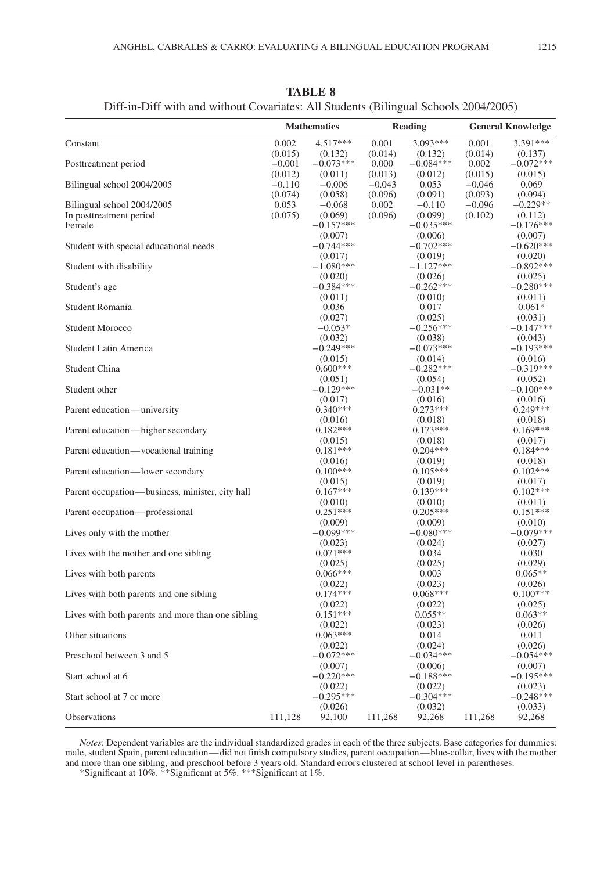|                                                   |          | <b>Mathematics</b>     |          | Reading                |          | <b>General Knowledge</b> |
|---------------------------------------------------|----------|------------------------|----------|------------------------|----------|--------------------------|
|                                                   |          |                        |          |                        |          |                          |
| Constant                                          | 0.002    | 4.517***               | 0.001    | 3.093***               | 0.001    | 3.391***                 |
|                                                   | (0.015)  | (0.132)                | (0.014)  | (0.132)                | (0.014)  | (0.137)                  |
| Posttreatment period                              | $-0.001$ | $-0.073***$            | 0.000    | $-0.084***$            | 0.002    | $-0.072***$              |
|                                                   | (0.012)  | (0.011)                | (0.013)  | (0.012)                | (0.015)  | (0.015)                  |
| Bilingual school 2004/2005                        | $-0.110$ | $-0.006$               | $-0.043$ | 0.053                  | $-0.046$ | 0.069                    |
|                                                   | (0.074)  | (0.058)                | (0.096)  | (0.091)                | (0.093)  | (0.094)                  |
| Bilingual school 2004/2005                        | 0.053    | $-0.068$               | 0.002    | $-0.110$               | $-0.096$ | $-0.229**$               |
| In posttreatment period                           | (0.075)  | (0.069)                | (0.096)  | (0.099)                | (0.102)  | (0.112)                  |
| Female                                            |          | $-0.157***$            |          | $-0.035***$            |          | $-0.176***$              |
|                                                   |          | (0.007)                |          | (0.006)                |          | (0.007)                  |
| Student with special educational needs            |          | $-0.744***$            |          | $-0.702***$            |          | $-0.620***$              |
|                                                   |          | (0.017)<br>$-1.080***$ |          | (0.019)<br>$-1.127***$ |          | (0.020)<br>$-0.892***$   |
| Student with disability                           |          |                        |          |                        |          |                          |
|                                                   |          | (0.020)<br>$-0.384***$ |          | (0.026)<br>$-0.262***$ |          | (0.025)<br>$-0.280***$   |
| Student's age                                     |          | (0.011)                |          | (0.010)                |          | (0.011)                  |
| Student Romania                                   |          | 0.036                  |          | 0.017                  |          | $0.061*$                 |
|                                                   |          | (0.027)                |          | (0.025)                |          | (0.031)                  |
| Student Morocco                                   |          | $-0.053*$              |          | $-0.256***$            |          | $-0.147***$              |
|                                                   |          | (0.032)                |          | (0.038)                |          | (0.043)                  |
| Student Latin America                             |          | $-0.249***$            |          | $-0.073***$            |          | $-0.193***$              |
|                                                   |          | (0.015)                |          | (0.014)                |          | (0.016)                  |
| Student China                                     |          | $0.600***$             |          | $-0.282***$            |          | $-0.319***$              |
|                                                   |          | (0.051)                |          | (0.054)                |          | (0.052)                  |
| Student other                                     |          | $-0.129***$            |          | $-0.031**$             |          | $-0.100***$              |
|                                                   |          | (0.017)                |          | (0.016)                |          | (0.016)                  |
| Parent education—university                       |          | $0.340***$             |          | $0.273***$             |          | $0.249***$               |
|                                                   |          | (0.016)                |          | (0.018)                |          | (0.018)                  |
| Parent education—higher secondary                 |          | $0.182***$             |          | $0.173***$             |          | $0.169***$               |
|                                                   |          | (0.015)                |          | (0.018)                |          | (0.017)                  |
| Parent education—vocational training              |          | $0.181***$             |          | $0.204***$             |          | $0.184***$               |
|                                                   |          | (0.016)                |          | (0.019)                |          | (0.018)                  |
| Parent education-lower secondary                  |          | $0.100***$             |          | $0.105***$             |          | $0.102***$               |
|                                                   |          | (0.015)                |          | (0.019)                |          | (0.017)                  |
| Parent occupation—business, minister, city hall   |          | $0.167***$             |          | $0.139***$             |          | $0.102***$               |
|                                                   |          | (0.010)                |          | (0.010)                |          | (0.011)                  |
| Parent occupation—professional                    |          | $0.251***$             |          | $0.205***$             |          | $0.151***$               |
|                                                   |          | (0.009)                |          | (0.009)                |          | (0.010)                  |
| Lives only with the mother                        |          | $-0.099***$            |          | $-0.080***$            |          | $-0.079***$              |
|                                                   |          | (0.023)                |          | (0.024)                |          | (0.027)                  |
| Lives with the mother and one sibling             |          | $0.071***$             |          | 0.034                  |          | 0.030                    |
|                                                   |          | (0.025)                |          | (0.025)                |          | (0.029)                  |
| Lives with both parents                           |          | $0.066***$             |          | 0.003                  |          | $0.065**$                |
|                                                   |          | (0.022)                |          | (0.023)                |          | (0.026)                  |
| Lives with both parents and one sibling           |          | $0.174***$             |          | $0.068***$             |          | $0.100***$               |
|                                                   |          | (0.022)                |          | (0.022)                |          | (0.025)                  |
| Lives with both parents and more than one sibling |          | $0.151***$             |          | $0.055**$              |          | $0.063**$                |
|                                                   |          | (0.022)                |          | (0.023)                |          | (0.026)                  |
| Other situations                                  |          | $0.063***$             |          | 0.014                  |          | 0.011                    |
|                                                   |          | (0.022)                |          | (0.024)                |          | (0.026)                  |
| Preschool between 3 and 5                         |          | $-0.072***$            |          | $-0.034***$            |          | $-0.054***$              |
|                                                   |          | (0.007)                |          | (0.006)                |          | (0.007)                  |
| Start school at 6                                 |          | $-0.220***$            |          | $-0.188***$            |          | $-0.195***$              |
|                                                   |          | (0.022)                |          | (0.022)                |          | (0.023)                  |
| Start school at 7 or more                         |          | $-0.295***$            |          | $-0.304***$            |          | $-0.248***$              |
|                                                   |          | (0.026)                |          | (0.032)                |          | (0.033)                  |
| <b>Observations</b>                               | 111,128  | 92,100                 | 111,268  | 92,268                 | 111,268  | 92,268                   |

**TABLE 8**

Diff-in-Diff with and without Covariates: All Students (Bilingual Schools 2004/2005)

*Notes*: Dependent variables are the individual standardized grades in each of the three subjects. Base categories for dummies: male, student Spain, parent education—did not finish compulsory studies, parent occupation—blue-collar, lives with the mother and more than one sibling, and preschool before 3 years old. Standard errors clustered at school level in parentheses.

\*Significant at 10%. \*\*Significant at 5%. \*\*\*Significant at 1%.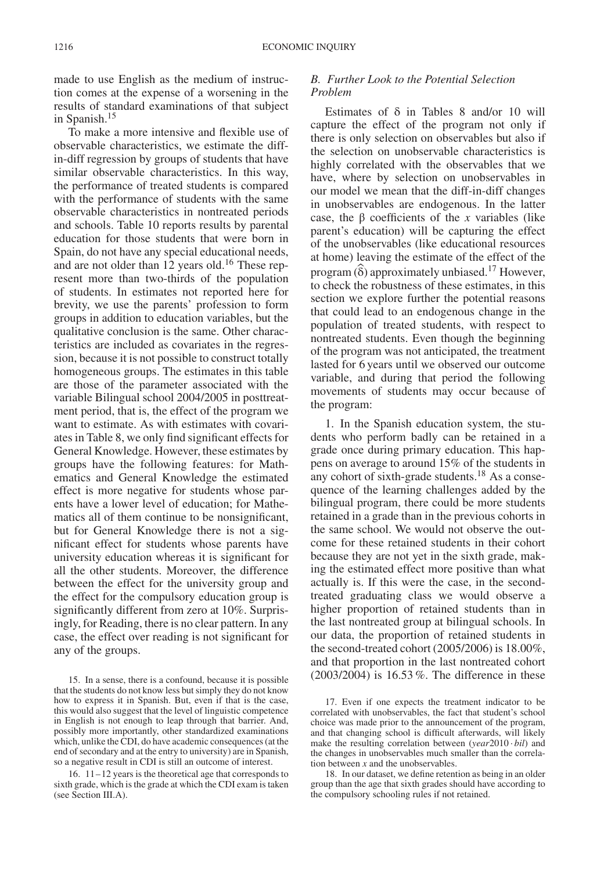made to use English as the medium of instruction comes at the expense of a worsening in the results of standard examinations of that subject in Spanish.15

To make a more intensive and flexible use of observable characteristics, we estimate the diffin-diff regression by groups of students that have similar observable characteristics. In this way, the performance of treated students is compared with the performance of students with the same observable characteristics in nontreated periods and schools. Table 10 reports results by parental education for those students that were born in Spain, do not have any special educational needs, and are not older than 12 years old.<sup>16</sup> These represent more than two-thirds of the population of students. In estimates not reported here for brevity, we use the parents' profession to form groups in addition to education variables, but the qualitative conclusion is the same. Other characteristics are included as covariates in the regression, because it is not possible to construct totally homogeneous groups. The estimates in this table are those of the parameter associated with the variable Bilingual school 2004/2005 in posttreatment period, that is, the effect of the program we want to estimate. As with estimates with covariates in Table 8, we only find significant effects for General Knowledge. However, these estimates by groups have the following features: for Mathematics and General Knowledge the estimated effect is more negative for students whose parents have a lower level of education; for Mathematics all of them continue to be nonsignificant, but for General Knowledge there is not a significant effect for students whose parents have university education whereas it is significant for all the other students. Moreover, the difference between the effect for the university group and the effect for the compulsory education group is significantly different from zero at 10%. Surprisingly, for Reading, there is no clear pattern. In any case, the effect over reading is not significant for any of the groups.

15. In a sense, there is a confound, because it is possible that the students do not know less but simply they do not know how to express it in Spanish. But, even if that is the case, this would also suggest that the level of linguistic competence in English is not enough to leap through that barrier. And, possibly more importantly, other standardized examinations which, unlike the CDI, do have academic consequences (at the end of secondary and at the entry to university) are in Spanish, so a negative result in CDI is still an outcome of interest.

16. 11–12 years is the theoretical age that corresponds to sixth grade, which is the grade at which the CDI exam is taken (see Section III.A).

### *B. Further Look to the Potential Selection Problem*

Estimates of δ in Tables 8 and/or 10 will capture the effect of the program not only if there is only selection on observables but also if the selection on unobservable characteristics is highly correlated with the observables that we have, where by selection on unobservables in our model we mean that the diff-in-diff changes in unobservables are endogenous. In the latter case, the β coefficients of the *x* variables (like parent's education) will be capturing the effect of the unobservables (like educational resources at home) leaving the estimate of the effect of the program  $(\hat{\delta})$  approximately unbiased.<sup>17</sup> However, to check the robustness of these estimates, in this section we explore further the potential reasons that could lead to an endogenous change in the population of treated students, with respect to nontreated students. Even though the beginning of the program was not anticipated, the treatment lasted for 6 years until we observed our outcome variable, and during that period the following movements of students may occur because of the program:

1. In the Spanish education system, the students who perform badly can be retained in a grade once during primary education. This happens on average to around 15% of the students in any cohort of sixth-grade students.<sup>18</sup> As a consequence of the learning challenges added by the bilingual program, there could be more students retained in a grade than in the previous cohorts in the same school. We would not observe the outcome for these retained students in their cohort because they are not yet in the sixth grade, making the estimated effect more positive than what actually is. If this were the case, in the secondtreated graduating class we would observe a higher proportion of retained students than in the last nontreated group at bilingual schools. In our data, the proportion of retained students in the second-treated cohort (2005/2006) is 18.00%, and that proportion in the last nontreated cohort (2003/2004) is 16.53 %. The difference in these

18. In our dataset, we define retention as being in an older group than the age that sixth grades should have according to the compulsory schooling rules if not retained.

<sup>17.</sup> Even if one expects the treatment indicator to be correlated with unobservables, the fact that student's school choice was made prior to the announcement of the program, and that changing school is difficult afterwards, will likely make the resulting correlation between (*year*2010 · *bil*) and the changes in unobservables much smaller than the correlation between *x* and the unobservables.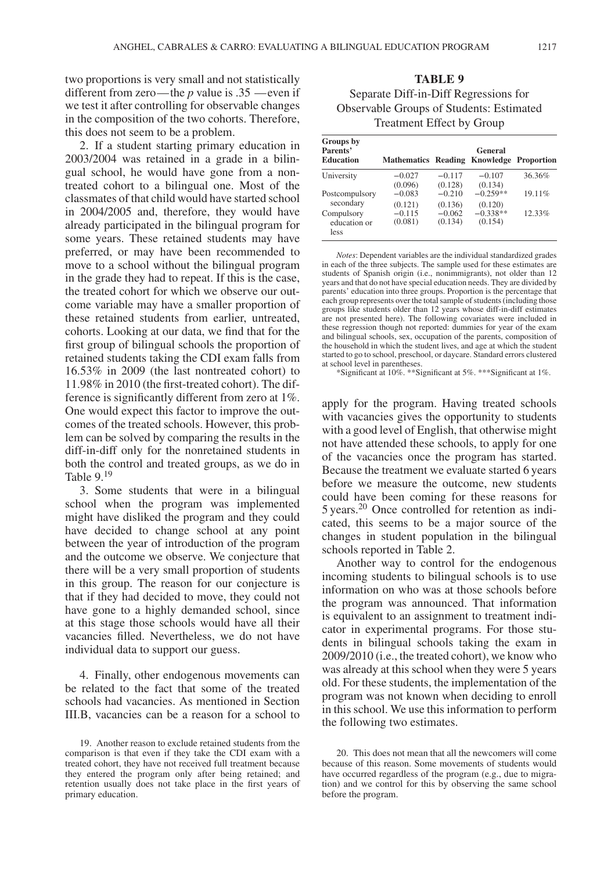two proportions is very small and not statistically different from zero—the *p* value is .35 —even if we test it after controlling for observable changes in the composition of the two cohorts. Therefore, this does not seem to be a problem.

2. If a student starting primary education in 2003/2004 was retained in a grade in a bilingual school, he would have gone from a nontreated cohort to a bilingual one. Most of the classmates of that child would have started school in 2004/2005 and, therefore, they would have already participated in the bilingual program for some years. These retained students may have preferred, or may have been recommended to move to a school without the bilingual program in the grade they had to repeat. If this is the case, the treated cohort for which we observe our outcome variable may have a smaller proportion of these retained students from earlier, untreated, cohorts. Looking at our data, we find that for the first group of bilingual schools the proportion of retained students taking the CDI exam falls from 16.53% in 2009 (the last nontreated cohort) to 11.98% in 2010 (the first-treated cohort). The difference is significantly different from zero at 1%. One would expect this factor to improve the outcomes of the treated schools. However, this problem can be solved by comparing the results in the diff-in-diff only for the nonretained students in both the control and treated groups, as we do in Table 9  $^{19}$ 

3. Some students that were in a bilingual school when the program was implemented might have disliked the program and they could have decided to change school at any point between the year of introduction of the program and the outcome we observe. We conjecture that there will be a very small proportion of students in this group. The reason for our conjecture is that if they had decided to move, they could not have gone to a highly demanded school, since at this stage those schools would have all their vacancies filled. Nevertheless, we do not have individual data to support our guess.

4. Finally, other endogenous movements can be related to the fact that some of the treated schools had vacancies. As mentioned in Section III.B, vacancies can be a reason for a school to

| TABLE 9                                         |
|-------------------------------------------------|
| Separate Diff-in-Diff Regressions for           |
| <b>Observable Groups of Students: Estimated</b> |
| Treatment Effect by Group                       |

| Groups by<br>Parents'<br><b>Education</b> | Mathematics Reading Knowledge Proportion |                     | General               |        |
|-------------------------------------------|------------------------------------------|---------------------|-----------------------|--------|
| University                                | $-0.027$<br>(0.096)                      | $-0.117$<br>(0.128) | $-0.107$<br>(0.134)   | 36.36% |
| Postcompulsory<br>secondary               | $-0.083$<br>(0.121)                      | $-0.210$<br>(0.136) | $-0.259**$<br>(0.120) | 19.11% |
| Compulsory<br>education or<br><i>less</i> | $-0.115$<br>(0.081)                      | $-0.062$<br>(0.134) | $-0.338**$<br>(0.154) | 12.33% |

*Notes*: Dependent variables are the individual standardized grades in each of the three subjects. The sample used for these estimates are students of Spanish origin (i.e., nonimmigrants), not older than 12 years and that do not have special education needs. They are divided by parents' education into three groups. Proportion is the percentage that each group represents over the total sample of students (including those groups like students older than 12 years whose diff-in-diff estimates are not presented here). The following covariates were included in these regression though not reported: dummies for year of the exam and bilingual schools, sex, occupation of the parents, composition of the household in which the student lives, and age at which the student started to go to school, preschool, or daycare. Standard errors clustered at school level in parentheses.

\*Significant at 10%. \*\*Significant at 5%. \*\*\*Significant at 1%.

apply for the program. Having treated schools with vacancies gives the opportunity to students with a good level of English, that otherwise might not have attended these schools, to apply for one of the vacancies once the program has started. Because the treatment we evaluate started 6 years before we measure the outcome, new students could have been coming for these reasons for 5 years.20 Once controlled for retention as indicated, this seems to be a major source of the changes in student population in the bilingual schools reported in Table 2.

Another way to control for the endogenous incoming students to bilingual schools is to use information on who was at those schools before the program was announced. That information is equivalent to an assignment to treatment indicator in experimental programs. For those students in bilingual schools taking the exam in 2009/2010 (i.e., the treated cohort), we know who was already at this school when they were 5 years old. For these students, the implementation of the program was not known when deciding to enroll in this school. We use this information to perform the following two estimates.

<sup>19.</sup> Another reason to exclude retained students from the comparison is that even if they take the CDI exam with a treated cohort, they have not received full treatment because they entered the program only after being retained; and retention usually does not take place in the first years of primary education.

<sup>20.</sup> This does not mean that all the newcomers will come because of this reason. Some movements of students would have occurred regardless of the program (e.g., due to migration) and we control for this by observing the same school before the program.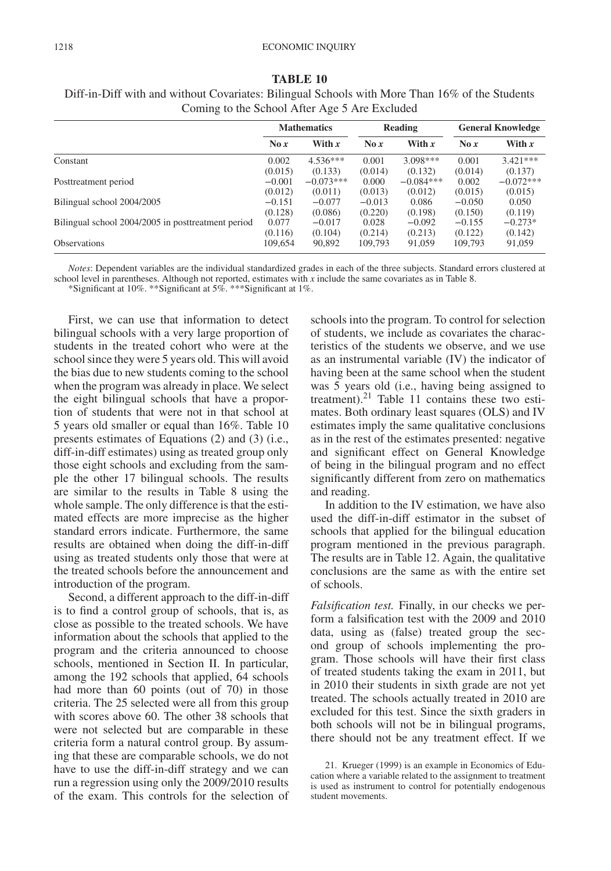|                                                    | <b>Mathematics</b> |             | Reading  |             | <b>General Knowledge</b> |             |
|----------------------------------------------------|--------------------|-------------|----------|-------------|--------------------------|-------------|
|                                                    | $\log x$           | With $x$    | $\log x$ | With $x$    | $\log x$                 | With $x$    |
| Constant                                           | 0.002              | $4.536***$  | 0.001    | $3.098***$  | 0.001                    | $3.421***$  |
|                                                    | (0.015)            | (0.133)     | (0.014)  | (0.132)     | (0.014)                  | (0.137)     |
| Posttreatment period                               | $-0.001$           | $-0.073***$ | 0.000    | $-0.084***$ | 0.002                    | $-0.072***$ |
|                                                    | (0.012)            | (0.011)     | (0.013)  | (0.012)     | (0.015)                  | (0.015)     |
| Bilingual school 2004/2005                         | $-0.151$           | $-0.077$    | $-0.013$ | 0.086       | $-0.050$                 | 0.050       |
|                                                    | (0.128)            | (0.086)     | (0.220)  | (0.198)     | (0.150)                  | (0.119)     |
| Bilingual school 2004/2005 in posttreatment period | 0.077              | $-0.017$    | 0.028    | $-0.092$    | $-0.155$                 | $-0.273*$   |
|                                                    | (0.116)            | (0.104)     | (0.214)  | (0.213)     | (0.122)                  | (0.142)     |
| <b>Observations</b>                                | 109,654            | 90,892      | 109,793  | 91,059      | 109,793                  | 91,059      |

**TABLE 10** Diff-in-Diff with and without Covariates: Bilingual Schools with More Than 16% of the Students Coming to the School After Age 5 Are Excluded

*Notes*: Dependent variables are the individual standardized grades in each of the three subjects. Standard errors clustered at school level in parentheses. Although not reported, estimates with *x* include the same covariates as in Table 8.

\*Significant at 10%. \*\*Significant at 5%. \*\*\*Significant at 1%.

First, we can use that information to detect bilingual schools with a very large proportion of students in the treated cohort who were at the school since they were 5 years old. This will avoid the bias due to new students coming to the school when the program was already in place. We select the eight bilingual schools that have a proportion of students that were not in that school at 5 years old smaller or equal than 16%. Table 10 presents estimates of Equations (2) and (3) (i.e., diff-in-diff estimates) using as treated group only those eight schools and excluding from the sample the other 17 bilingual schools. The results are similar to the results in Table 8 using the whole sample. The only difference is that the estimated effects are more imprecise as the higher standard errors indicate. Furthermore, the same results are obtained when doing the diff-in-diff using as treated students only those that were at the treated schools before the announcement and introduction of the program.

Second, a different approach to the diff-in-diff is to find a control group of schools, that is, as close as possible to the treated schools. We have information about the schools that applied to the program and the criteria announced to choose schools, mentioned in Section II. In particular, among the 192 schools that applied, 64 schools had more than 60 points (out of 70) in those criteria. The 25 selected were all from this group with scores above 60. The other 38 schools that were not selected but are comparable in these criteria form a natural control group. By assuming that these are comparable schools, we do not have to use the diff-in-diff strategy and we can run a regression using only the 2009/2010 results of the exam. This controls for the selection of schools into the program. To control for selection of students, we include as covariates the characteristics of the students we observe, and we use as an instrumental variable (IV) the indicator of having been at the same school when the student was 5 years old (i.e., having being assigned to treatment). $21$  Table 11 contains these two estimates. Both ordinary least squares (OLS) and IV estimates imply the same qualitative conclusions as in the rest of the estimates presented: negative and significant effect on General Knowledge of being in the bilingual program and no effect significantly different from zero on mathematics and reading.

In addition to the IV estimation, we have also used the diff-in-diff estimator in the subset of schools that applied for the bilingual education program mentioned in the previous paragraph. The results are in Table 12. Again, the qualitative conclusions are the same as with the entire set of schools.

*Falsification test.* Finally, in our checks we perform a falsification test with the 2009 and 2010 data, using as (false) treated group the second group of schools implementing the program. Those schools will have their first class of treated students taking the exam in 2011, but in 2010 their students in sixth grade are not yet treated. The schools actually treated in 2010 are excluded for this test. Since the sixth graders in both schools will not be in bilingual programs, there should not be any treatment effect. If we

<sup>21.</sup> Krueger (1999) is an example in Economics of Education where a variable related to the assignment to treatment is used as instrument to control for potentially endogenous student movements.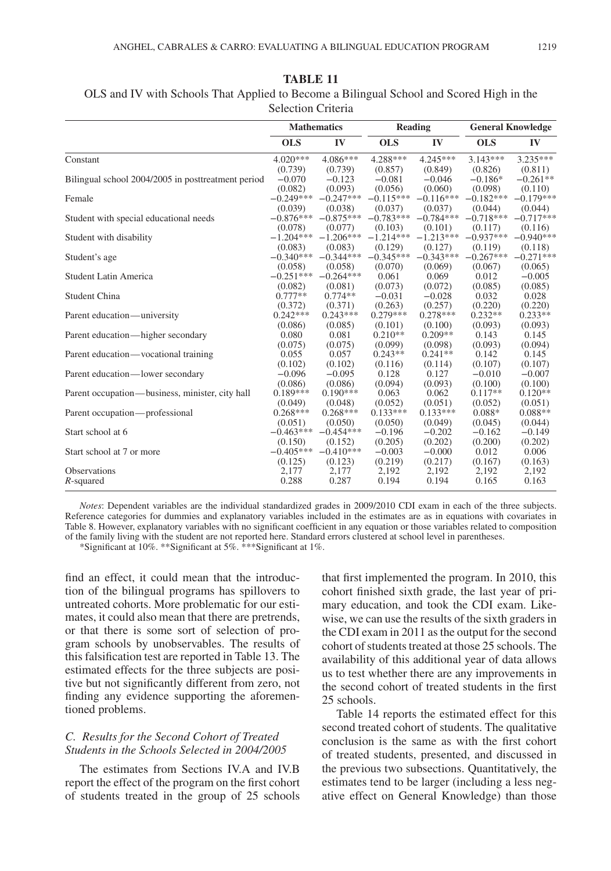|                                                    | <b>Mathematics</b> |             | Reading                 |             |             | <b>General Knowledge</b> |  |  |
|----------------------------------------------------|--------------------|-------------|-------------------------|-------------|-------------|--------------------------|--|--|
|                                                    | <b>OLS</b>         | IV          | <b>OLS</b>              | $\bf{IV}$   | <b>OLS</b>  | IV                       |  |  |
| Constant                                           | $4.020***$         | 4.086***    | 4.288***                | $4.245***$  | $3.143***$  | $3.235***$               |  |  |
|                                                    | (0.739)            | (0.739)     | (0.857)                 | (0.849)     | (0.826)     | (0.811)                  |  |  |
| Bilingual school 2004/2005 in posttreatment period | $-0.070$           | $-0.123$    | $-0.081$                | $-0.046$    | $-0.186*$   | $-0.261**$               |  |  |
|                                                    | (0.082)            | (0.093)     | (0.056)                 | (0.060)     | (0.098)     | (0.110)                  |  |  |
| Female                                             | $-0.249***$        | $-0.247***$ | $-0.115***$             | $-0.116***$ | $-0.182***$ | $-0.179***$              |  |  |
|                                                    | (0.039)            | (0.038)     | (0.037)                 | (0.037)     | (0.044)     | (0.044)                  |  |  |
| Student with special educational needs             | $-0.876***$        | $-0.875***$ | $-0.783***$             | $-0.784***$ | $-0.718***$ | $-0.717***$              |  |  |
|                                                    | (0.078)            | (0.077)     | (0.103)                 | (0.101)     | (0.117)     | (0.116)                  |  |  |
| Student with disability                            | $-1.204***$        |             | $-1.206***$ $-1.214***$ | $-1.213***$ | $-0.937***$ | $-0.940***$              |  |  |
|                                                    | (0.083)            | (0.083)     | (0.129)                 | (0.127)     | (0.119)     | (0.118)                  |  |  |
| Student's age                                      | $-0.340***$        | $-0.344***$ | $-0.345***$             | $-0.343***$ | $-0.267***$ | $-0.271***$              |  |  |
|                                                    | (0.058)            | (0.058)     | (0.070)                 | (0.069)     | (0.067)     | (0.065)                  |  |  |
| <b>Student Latin America</b>                       | $-0.251***$        | $-0.264***$ | 0.061                   | 0.069       | 0.012       | $-0.005$                 |  |  |
|                                                    | (0.082)            | (0.081)     | (0.073)                 | (0.072)     | (0.085)     | (0.085)                  |  |  |
| Student China                                      | $0.777**$          | $0.774**$   | $-0.031$                | $-0.028$    | 0.032       | 0.028                    |  |  |
|                                                    | (0.372)            | (0.371)     | (0.263)                 | (0.257)     | (0.220)     | (0.220)                  |  |  |
| Parent education—university                        | $0.242***$         | $0.243***$  | $0.279***$              | $0.278***$  | $0.232**$   | $0.233**$                |  |  |
|                                                    | (0.086)            | (0.085)     | (0.101)                 | (0.100)     | (0.093)     | (0.093)                  |  |  |
| Parent education—higher secondary                  | 0.080              | 0.081       | $0.210**$               | $0.209**$   | 0.143       | 0.145                    |  |  |
|                                                    | (0.075)            | (0.075)     | (0.099)                 | (0.098)     | (0.093)     | (0.094)                  |  |  |
| Parent education—vocational training               | 0.055              | 0.057       | $0.243**$               | $0.241**$   | 0.142       | 0.145                    |  |  |
|                                                    | (0.102)            | (0.102)     | (0.116)                 | (0.114)     | (0.107)     | (0.107)                  |  |  |
| Parent education—lower secondary                   | $-0.096$           | $-0.095$    | 0.128                   | 0.127       | $-0.010$    | $-0.007$                 |  |  |
|                                                    | (0.086)            | (0.086)     | (0.094)                 | (0.093)     | (0.100)     | (0.100)                  |  |  |
| Parent occupation—business, minister, city hall    | $0.189***$         | $0.190***$  | 0.063                   | 0.062       | $0.117**$   | $0.120**$                |  |  |
|                                                    | (0.049)            | (0.048)     | (0.052)                 | (0.051)     | (0.052)     | (0.051)                  |  |  |
| Parent occupation—professional                     | $0.268***$         | $0.268***$  | $0.133***$              | $0.133***$  | $0.088*$    | $0.088**$                |  |  |
|                                                    | (0.051)            | (0.050)     | (0.050)                 | (0.049)     | (0.045)     | (0.044)                  |  |  |
| Start school at 6                                  | $-0.463***$        | $-0.454***$ | $-0.196$                | $-0.202$    | $-0.162$    | $-0.149$                 |  |  |
|                                                    | (0.150)            | (0.152)     | (0.205)                 | (0.202)     | (0.200)     | (0.202)                  |  |  |
| Start school at 7 or more                          | $-0.405***$        | $-0.410***$ | $-0.003$                | $-0.000$    | 0.012       | 0.006                    |  |  |
|                                                    | (0.125)            | (0.123)     | (0.219)                 | (0.217)     | (0.167)     | (0.163)                  |  |  |
| Observations                                       | 2,177              | 2,177       | 2,192                   | 2,192       | 2,192       | 2,192                    |  |  |
| R-squared                                          | 0.288              | 0.287       | 0.194                   | 0.194       | 0.165       | 0.163                    |  |  |
|                                                    |                    |             |                         |             |             |                          |  |  |

**TABLE 11** OLS and IV with Schools That Applied to Become a Bilingual School and Scored High in the Selection Criteria

*Notes*: Dependent variables are the individual standardized grades in 2009/2010 CDI exam in each of the three subjects. Reference categories for dummies and explanatory variables included in the estimates are as in equations with covariates in Table 8. However, explanatory variables with no significant coefficient in any equation or those variables related to composition of the family living with the student are not reported here. Standard errors clustered at school level in parentheses.

\*Significant at 10%. \*\*Significant at 5%. \*\*\*Significant at 1%.

find an effect, it could mean that the introduction of the bilingual programs has spillovers to untreated cohorts. More problematic for our estimates, it could also mean that there are pretrends, or that there is some sort of selection of program schools by unobservables. The results of this falsification test are reported in Table 13. The estimated effects for the three subjects are positive but not significantly different from zero, not finding any evidence supporting the aforementioned problems.

### *C. Results for the Second Cohort of Treated Students in the Schools Selected in 2004/2005*

The estimates from Sections IV.A and IV.B report the effect of the program on the first cohort of students treated in the group of 25 schools that first implemented the program. In 2010, this cohort finished sixth grade, the last year of primary education, and took the CDI exam. Likewise, we can use the results of the sixth graders in the CDI exam in 2011 as the output for the second cohort of students treated at those 25 schools. The availability of this additional year of data allows us to test whether there are any improvements in the second cohort of treated students in the first 25 schools.

Table 14 reports the estimated effect for this second treated cohort of students. The qualitative conclusion is the same as with the first cohort of treated students, presented, and discussed in the previous two subsections. Quantitatively, the estimates tend to be larger (including a less negative effect on General Knowledge) than those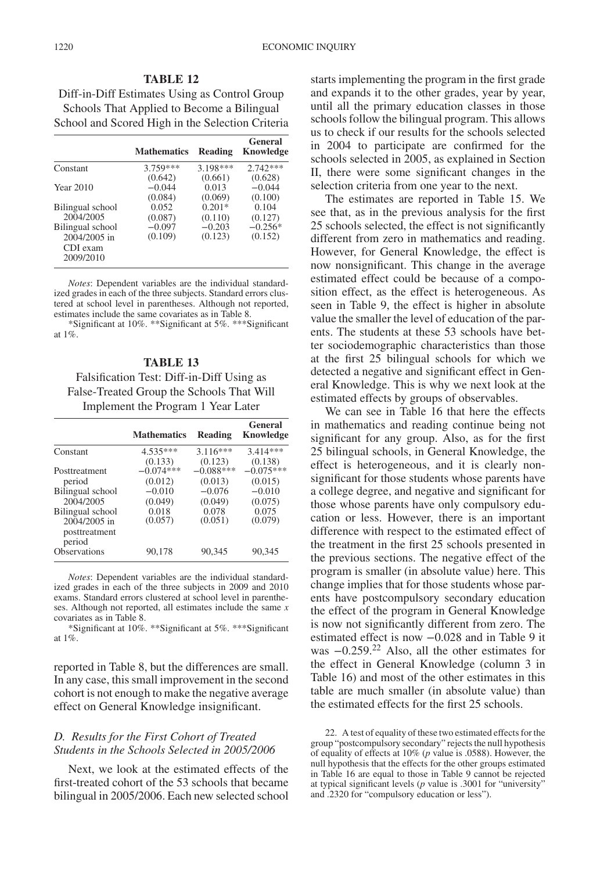| Diff-in-Diff Estimates Using as Control Group    |
|--------------------------------------------------|
| Schools That Applied to Become a Bilingual       |
| School and Scored High in the Selection Criteria |

**TABLE 12**

|                  | <b>Mathematics</b> | Reading    | General<br>Knowledge |
|------------------|--------------------|------------|----------------------|
| Constant         | 3.759***           | $3.198***$ | $2.742***$           |
|                  | (0.642)            | (0.661)    | (0.628)              |
| <b>Year 2010</b> | $-0.044$           | 0.013      | $-0.044$             |
|                  | (0.084)            | (0.069)    | (0.100)              |
| Bilingual school | 0.052              | $0.201*$   | 0.104                |
| 2004/2005        | (0.087)            | (0.110)    | (0.127)              |
| Bilingual school | $-0.097$           | $-0.203$   | $-0.256*$            |
| 2004/2005 in     | (0.109)            | (0.123)    | (0.152)              |
| CDI exam         |                    |            |                      |
| 2009/2010        |                    |            |                      |
|                  |                    |            |                      |

*Notes*: Dependent variables are the individual standardized grades in each of the three subjects. Standard errors clustered at school level in parentheses. Although not reported, estimates include the same covariates as in Table 8.

\*Significant at 10%. \*\*Significant at 5%. \*\*\*Significant at 1%.

#### **TABLE 13**

Falsification Test: Diff-in-Diff Using as False-Treated Group the Schools That Will Implement the Program 1 Year Later

|                               | <b>Mathematics</b> | Reading     | General<br>Knowledge |
|-------------------------------|--------------------|-------------|----------------------|
| Constant                      | $4.535***$         | $3.116***$  | $3.414***$           |
|                               | (0.133)            | (0.123)     | (0.138)              |
| Posttreatment                 | $-0.074***$        | $-0.088***$ | $-0.075***$          |
| period                        | (0.012)            | (0.013)     | (0.015)              |
| Bilingual school              | $-0.010$           | $-0.076$    | $-0.010$             |
| 2004/2005                     | (0.049)            | (0.049)     | (0.075)              |
| Bilingual school              | 0.018              | 0.078       | 0.075                |
| 2004/2005 in<br>posttreatment | (0.057)            | (0.051)     | (0.079)              |
| period                        |                    |             |                      |
| <b>Observations</b>           | 90.178             | 90.345      | 90.345               |

*Notes*: Dependent variables are the individual standardized grades in each of the three subjects in 2009 and 2010 exams. Standard errors clustered at school level in parentheses. Although not reported, all estimates include the same *x* covariates as in Table 8.

\*Significant at 10%. \*\*Significant at 5%. \*\*\*Significant at 1%.

reported in Table 8, but the differences are small. In any case, this small improvement in the second cohort is not enough to make the negative average effect on General Knowledge insignificant.

# *D. Results for the First Cohort of Treated Students in the Schools Selected in 2005/2006*

Next, we look at the estimated effects of the first-treated cohort of the 53 schools that became bilingual in 2005/2006. Each new selected school starts implementing the program in the first grade and expands it to the other grades, year by year, until all the primary education classes in those schools follow the bilingual program. This allows us to check if our results for the schools selected in 2004 to participate are confirmed for the schools selected in 2005, as explained in Section II, there were some significant changes in the selection criteria from one year to the next.

The estimates are reported in Table 15. We see that, as in the previous analysis for the first 25 schools selected, the effect is not significantly different from zero in mathematics and reading. However, for General Knowledge, the effect is now nonsignificant. This change in the average estimated effect could be because of a composition effect, as the effect is heterogeneous. As seen in Table 9, the effect is higher in absolute value the smaller the level of education of the parents. The students at these 53 schools have better sociodemographic characteristics than those at the first 25 bilingual schools for which we detected a negative and significant effect in General Knowledge. This is why we next look at the estimated effects by groups of observables.

We can see in Table 16 that here the effects in mathematics and reading continue being not significant for any group. Also, as for the first 25 bilingual schools, in General Knowledge, the effect is heterogeneous, and it is clearly nonsignificant for those students whose parents have a college degree, and negative and significant for those whose parents have only compulsory education or less. However, there is an important difference with respect to the estimated effect of the treatment in the first 25 schools presented in the previous sections. The negative effect of the program is smaller (in absolute value) here. This change implies that for those students whose parents have postcompulsory secondary education the effect of the program in General Knowledge is now not significantly different from zero. The estimated effect is now −0.028 and in Table 9 it was −0.259.<sup>22</sup> Also, all the other estimates for the effect in General Knowledge (column 3 in Table 16) and most of the other estimates in this table are much smaller (in absolute value) than the estimated effects for the first 25 schools.

22. A test of equality of these two estimated effects for the group "postcompulsory secondary" rejects the null hypothesis of equality of effects at 10% (*p* value is .0588). However, the null hypothesis that the effects for the other groups estimated in Table 16 are equal to those in Table 9 cannot be rejected at typical significant levels (*p* value is .3001 for "university" and .2320 for "compulsory education or less").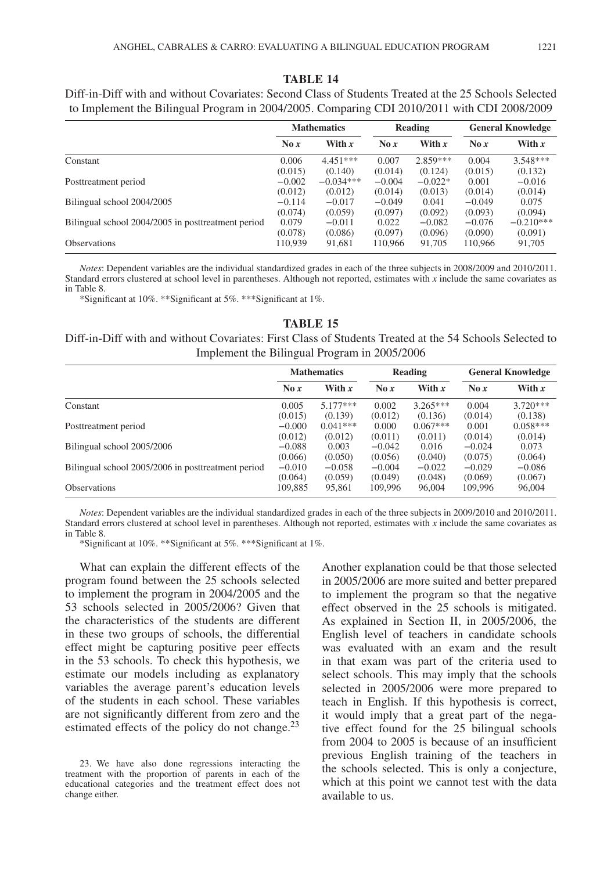# **TABLE 14**

|                                                    | <b>Mathematics</b> |             | Reading  |            | <b>General Knowledge</b> |             |
|----------------------------------------------------|--------------------|-------------|----------|------------|--------------------------|-------------|
|                                                    | $\log x$           | With x      | $\log x$ | With x     | $\log x$                 | With $x$    |
| Constant                                           | 0.006              | $4.451***$  | 0.007    | $2.859***$ | 0.004                    | $3.548***$  |
|                                                    | (0.015)            | (0.140)     | (0.014)  | (0.124)    | (0.015)                  | (0.132)     |
| Posttreatment period                               | $-0.002$           | $-0.034***$ | $-0.004$ | $-0.022*$  | 0.001                    | $-0.016$    |
|                                                    | (0.012)            | (0.012)     | (0.014)  | (0.013)    | (0.014)                  | (0.014)     |
| Bilingual school 2004/2005                         | $-0.114$           | $-0.017$    | $-0.049$ | 0.041      | $-0.049$                 | 0.075       |
|                                                    | (0.074)            | (0.059)     | (0.097)  | (0.092)    | (0.093)                  | (0.094)     |
| Bilingual school 2004/2005 in posttreatment period | 0.079              | $-0.011$    | 0.022    | $-0.082$   | $-0.076$                 | $-0.210***$ |
|                                                    | (0.078)            | (0.086)     | (0.097)  | (0.096)    | (0.090)                  | (0.091)     |
| <b>Observations</b>                                | 110,939            | 91.681      | 110,966  | 91,705     | 110,966                  | 91,705      |

Diff-in-Diff with and without Covariates: Second Class of Students Treated at the 25 Schools Selected to Implement the Bilingual Program in 2004/2005. Comparing CDI 2010/2011 with CDI 2008/2009

*Notes*: Dependent variables are the individual standardized grades in each of the three subjects in 2008/2009 and 2010/2011. Standard errors clustered at school level in parentheses. Although not reported, estimates with *x* include the same covariates as in Table 8.

\*Significant at 10%. \*\*Significant at 5%. \*\*\*Significant at 1%.

### **TABLE 15**

Diff-in-Diff with and without Covariates: First Class of Students Treated at the 54 Schools Selected to Implement the Bilingual Program in 2005/2006

|                                                    |          | <b>Mathematics</b> | Reading  |            | <b>General Knowledge</b> |            |
|----------------------------------------------------|----------|--------------------|----------|------------|--------------------------|------------|
|                                                    | $\log x$ | With x             | $\log x$ | With x     | No $x$                   | With $x$   |
| Constant                                           | 0.005    | $5.177***$         | 0.002    | $3.265***$ | 0.004                    | $3.720***$ |
|                                                    | (0.015)  | (0.139)            | (0.012)  | (0.136)    | (0.014)                  | (0.138)    |
| Posttreatment period                               | $-0.000$ | $0.041***$         | 0.000    | $0.067***$ | 0.001                    | $0.058***$ |
|                                                    | (0.012)  | (0.012)            | (0.011)  | (0.011)    | (0.014)                  | (0.014)    |
| Bilingual school 2005/2006                         | $-0.088$ | 0.003              | $-0.042$ | 0.016      | $-0.024$                 | 0.073      |
|                                                    | (0.066)  | (0.050)            | (0.056)  | (0.040)    | (0.075)                  | (0.064)    |
| Bilingual school 2005/2006 in posttreatment period | $-0.010$ | $-0.058$           | $-0.004$ | $-0.022$   | $-0.029$                 | $-0.086$   |
|                                                    | (0.064)  | (0.059)            | (0.049)  | (0.048)    | (0.069)                  | (0.067)    |
| <b>Observations</b>                                | 109,885  | 95,861             | 109,996  | 96,004     | 109,996                  | 96,004     |

*Notes*: Dependent variables are the individual standardized grades in each of the three subjects in 2009/2010 and 2010/2011. Standard errors clustered at school level in parentheses. Although not reported, estimates with *x* include the same covariates as in Table 8.

\*Significant at 10%. \*\*Significant at 5%. \*\*\*Significant at 1%.

What can explain the different effects of the program found between the 25 schools selected to implement the program in 2004/2005 and the 53 schools selected in 2005/2006? Given that the characteristics of the students are different in these two groups of schools, the differential effect might be capturing positive peer effects in the 53 schools. To check this hypothesis, we estimate our models including as explanatory variables the average parent's education levels of the students in each school. These variables are not significantly different from zero and the estimated effects of the policy do not change.<sup>23</sup>

Another explanation could be that those selected in 2005/2006 are more suited and better prepared to implement the program so that the negative effect observed in the 25 schools is mitigated. As explained in Section II, in 2005/2006, the English level of teachers in candidate schools was evaluated with an exam and the result in that exam was part of the criteria used to select schools. This may imply that the schools selected in 2005/2006 were more prepared to teach in English. If this hypothesis is correct, it would imply that a great part of the negative effect found for the 25 bilingual schools from 2004 to 2005 is because of an insufficient previous English training of the teachers in the schools selected. This is only a conjecture, which at this point we cannot test with the data available to us.

<sup>23.</sup> We have also done regressions interacting the treatment with the proportion of parents in each of the educational categories and the treatment effect does not change either.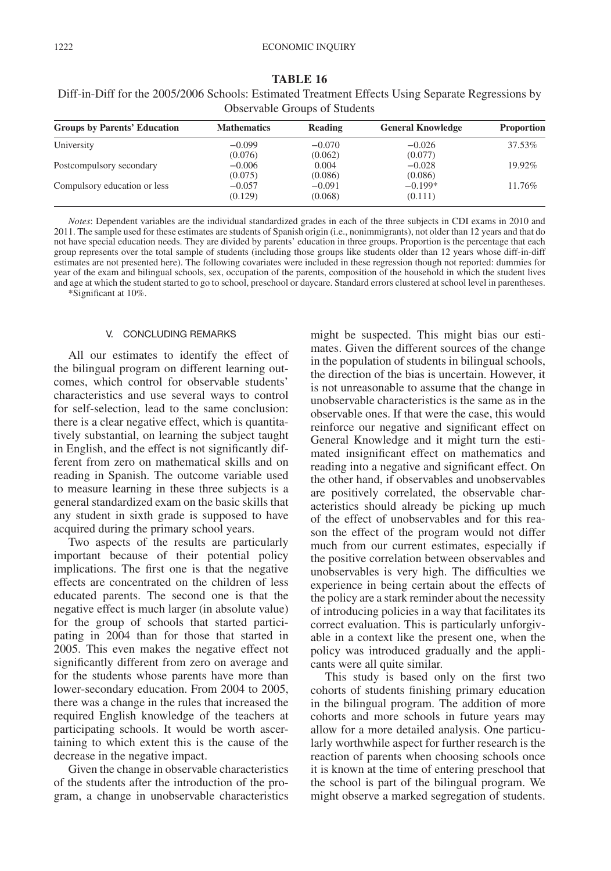| <b>Groups by Parents' Education</b> | <b>Mathematics</b> | Reading  | <b>General Knowledge</b> | <b>Proportion</b> |
|-------------------------------------|--------------------|----------|--------------------------|-------------------|
| University                          | $-0.099$           | $-0.070$ | $-0.026$                 | 37.53%            |
|                                     | (0.076)            | (0.062)  | (0.077)                  |                   |
| Postcompulsory secondary            | $-0.006$           | 0.004    | $-0.028$                 | 19.92%            |
|                                     | (0.075)            | (0.086)  | (0.086)                  |                   |
| Compulsory education or less        | $-0.057$           | $-0.091$ | $-0.199*$                | 11.76%            |
|                                     | (0.129)            | (0.068)  | (0.111)                  |                   |

### **TABLE 16**

Diff-in-Diff for the 2005/2006 Schools: Estimated Treatment Effects Using Separate Regressions by Observable Groups of Students

*Notes*: Dependent variables are the individual standardized grades in each of the three subjects in CDI exams in 2010 and 2011. The sample used for these estimates are students of Spanish origin (i.e., nonimmigrants), not older than 12 years and that do not have special education needs. They are divided by parents' education in three groups. Proportion is the percentage that each group represents over the total sample of students (including those groups like students older than 12 years whose diff-in-diff estimates are not presented here). The following covariates were included in these regression though not reported: dummies for year of the exam and bilingual schools, sex, occupation of the parents, composition of the household in which the student lives and age at which the student started to go to school, preschool or daycare. Standard errors clustered at school level in parentheses. \*Significant at 10%.

### V. CONCLUDING REMARKS

All our estimates to identify the effect of the bilingual program on different learning outcomes, which control for observable students' characteristics and use several ways to control for self-selection, lead to the same conclusion: there is a clear negative effect, which is quantitatively substantial, on learning the subject taught in English, and the effect is not significantly different from zero on mathematical skills and on reading in Spanish. The outcome variable used to measure learning in these three subjects is a general standardized exam on the basic skills that any student in sixth grade is supposed to have acquired during the primary school years.

Two aspects of the results are particularly important because of their potential policy implications. The first one is that the negative effects are concentrated on the children of less educated parents. The second one is that the negative effect is much larger (in absolute value) for the group of schools that started participating in 2004 than for those that started in 2005. This even makes the negative effect not significantly different from zero on average and for the students whose parents have more than lower-secondary education. From 2004 to 2005, there was a change in the rules that increased the required English knowledge of the teachers at participating schools. It would be worth ascertaining to which extent this is the cause of the decrease in the negative impact.

Given the change in observable characteristics of the students after the introduction of the program, a change in unobservable characteristics

might be suspected. This might bias our estimates. Given the different sources of the change in the population of students in bilingual schools, the direction of the bias is uncertain. However, it is not unreasonable to assume that the change in unobservable characteristics is the same as in the observable ones. If that were the case, this would reinforce our negative and significant effect on General Knowledge and it might turn the estimated insignificant effect on mathematics and reading into a negative and significant effect. On the other hand, if observables and unobservables are positively correlated, the observable characteristics should already be picking up much of the effect of unobservables and for this reason the effect of the program would not differ much from our current estimates, especially if the positive correlation between observables and unobservables is very high. The difficulties we experience in being certain about the effects of the policy are a stark reminder about the necessity of introducing policies in a way that facilitates its correct evaluation. This is particularly unforgivable in a context like the present one, when the policy was introduced gradually and the applicants were all quite similar.

This study is based only on the first two cohorts of students finishing primary education in the bilingual program. The addition of more cohorts and more schools in future years may allow for a more detailed analysis. One particularly worthwhile aspect for further research is the reaction of parents when choosing schools once it is known at the time of entering preschool that the school is part of the bilingual program. We might observe a marked segregation of students.